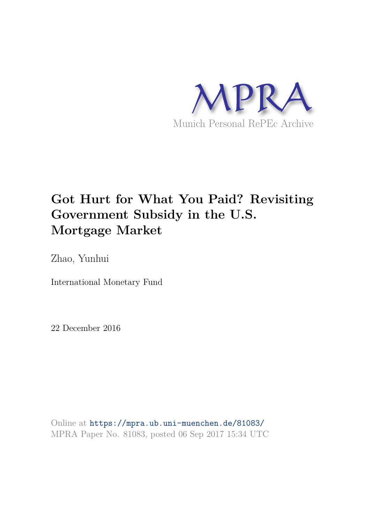

# **Got Hurt for What You Paid? Revisiting Government Subsidy in the U.S. Mortgage Market**

Zhao, Yunhui

International Monetary Fund

22 December 2016

Online at https://mpra.ub.uni-muenchen.de/81083/ MPRA Paper No. 81083, posted 06 Sep 2017 15:34 UTC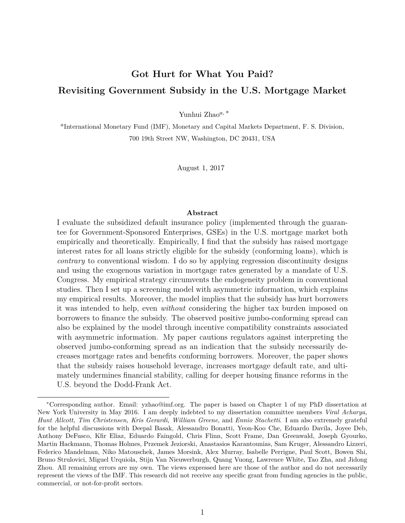# **Got Hurt for What You Paid? Revisiting Government Subsidy in the U.S. Mortgage Market**

Yunhui Zhao*a,* <sup>∗</sup>

*a* International Monetary Fund (IMF), Monetary and Capital Markets Department, F. S. Division, 700 19th Street NW, Washington, DC 20431, USA

August 1, 2017

#### **Abstract**

I evaluate the subsidized default insurance policy (implemented through the guarantee for Government-Sponsored Enterprises, GSEs) in the U.S. mortgage market both empirically and theoretically. Empirically, I find that the subsidy has raised mortgage interest rates for all loans strictly eligible for the subsidy (conforming loans), which is *contrary* to conventional wisdom. I do so by applying regression discontinuity designs and using the exogenous variation in mortgage rates generated by a mandate of U.S. Congress. My empirical strategy circumvents the endogeneity problem in conventional studies. Then I set up a screening model with asymmetric information, which explains my empirical results. Moreover, the model implies that the subsidy has hurt borrowers it was intended to help, even *without* considering the higher tax burden imposed on borrowers to finance the subsidy. The observed positive jumbo-conforming spread can also be explained by the model through incentive compatibility constraints associated with asymmetric information. My paper cautions regulators against interpreting the observed jumbo-conforming spread as an indication that the subsidy necessarily decreases mortgage rates and benefits conforming borrowers. Moreover, the paper shows that the subsidy raises household leverage, increases mortgage default rate, and ultimately undermines financial stability, calling for deeper housing finance reforms in the U.S. beyond the Dodd-Frank Act.

<sup>∗</sup>Corresponding author. Email: yzhao@imf.org. The paper is based on Chapter 1 of my PhD dissertation at New York University in May 2016. I am deeply indebted to my dissertation committee members *Viral Acharya, Hunt Allcott, Tim Christensen, Kris Gerardi, William Greene*, and *Ennio Stachetti*. I am also extremely grateful for the helpful discussions with Deepal Basak, Alessandro Bonatti, Yeon-Koo Che, Eduardo Davila, Joyee Deb, Anthony DeFusco, Kfir Eliaz, Eduardo Faingold, Chris Flinn, Scott Frame, Dan Greenwald, Joseph Gyourko, Martin Hackmann, Thomas Holmes, Przemek Jeziorski, Anastasios Karantounias, Sam Kruger, Alessandro Lizzeri, Federico Mandelman, Niko Matouschek, James Morsink, Alex Murray, Isabelle Perrigne, Paul Scott, Bowen Shi, Bruno Strulovici, Miguel Urquiola, Stijn Van Nieuwerburgh, Quang Vuong, Lawrence White, Tao Zha, and Jidong Zhou. All remaining errors are my own. The views expressed here are those of the author and do not necessarily represent the views of the IMF. This research did not receive any specific grant from funding agencies in the public, commercial, or not-for-profit sectors.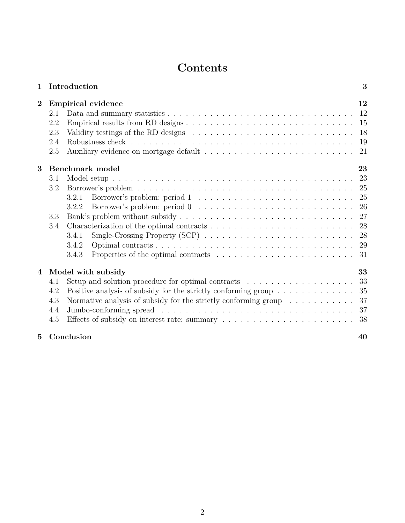# **Contents**

| $\mathbf{1}$    | Introduction                                                                                                            | 3   |
|-----------------|-------------------------------------------------------------------------------------------------------------------------|-----|
| $\overline{2}$  | <b>Empirical evidence</b>                                                                                               | 12  |
|                 | 2.1                                                                                                                     |     |
|                 | 2.2                                                                                                                     | -15 |
|                 | 2.3<br>Validity testings of the RD designs $\ldots \ldots \ldots \ldots \ldots \ldots \ldots \ldots \ldots$             | 18  |
|                 | 2.4                                                                                                                     | 19  |
|                 | 2.5                                                                                                                     | 21  |
| 3               | Benchmark model                                                                                                         | 23  |
|                 | 3.1                                                                                                                     | 23  |
|                 | 3.2                                                                                                                     |     |
|                 | 3.2.1                                                                                                                   | 25  |
|                 | 3.2.2                                                                                                                   |     |
|                 | 3.3                                                                                                                     | 27  |
|                 | Characterization of the optimal contracts $\dots \dots \dots \dots \dots \dots \dots \dots \dots \dots \dots$ 28<br>3.4 |     |
|                 | Single-Crossing Property (SCP) $\ldots \ldots \ldots \ldots \ldots \ldots \ldots \ldots \ldots 28$<br>3.4.1             |     |
|                 | 3.4.2                                                                                                                   |     |
|                 | 3.4.3<br>Properties of the optimal contracts $\dots \dots \dots \dots \dots \dots \dots \dots \dots \dots$              |     |
| $\overline{4}$  | Model with subsidy                                                                                                      | 33  |
|                 | Setup and solution procedure for optimal contracts $\dots \dots \dots \dots \dots \dots \dots$<br>4.1                   | 33  |
|                 | Positive analysis of subsidy for the strictly conforming group<br>$\hfill\ldots\ldots\ldots\ldots\ldots\ldots$<br>4.2   | 35  |
|                 | Normative analysis of subsidy for the strictly conforming group $\dots \dots \dots$<br>4.3                              | 37  |
|                 | 4.4                                                                                                                     | 37  |
|                 | 4.5                                                                                                                     |     |
| $5\overline{)}$ | Conclusion                                                                                                              | 40  |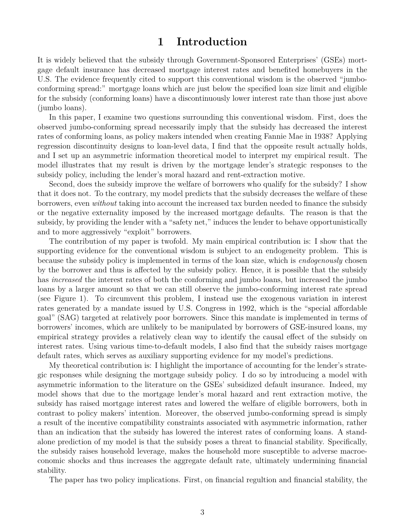# **1 Introduction**

It is widely believed that the subsidy through Government-Sponsored Enterprises' (GSEs) mortgage default insurance has decreased mortgage interest rates and benefited homebuyers in the U.S. The evidence frequently cited to support this conventional wisdom is the observed "jumboconforming spread:" mortgage loans which are just below the specified loan size limit and eligible for the subsidy (conforming loans) have a discontinuously lower interest rate than those just above (jumbo loans).

In this paper, I examine two questions surrounding this conventional wisdom. First, does the observed jumbo-conforming spread necessarily imply that the subsidy has decreased the interest rates of conforming loans, as policy makers intended when creating Fannie Mae in 1938? Applying regression discontinuity designs to loan-level data, I find that the opposite result actually holds, and I set up an asymmetric information theoretical model to interpret my empirical result. The model illustrates that my result is driven by the mortgage lender's strategic responses to the subsidy policy, including the lender's moral hazard and rent-extraction motive.

Second, does the subsidy improve the welfare of borrowers who qualify for the subsidy? I show that it does not. To the contrary, my model predicts that the subsidy decreases the welfare of these borrowers, even *without* taking into account the increased tax burden needed to finance the subsidy or the negative externality imposed by the increased mortgage defaults. The reason is that the subsidy, by providing the lender with a "safety net," induces the lender to behave opportunistically and to more aggressively "exploit" borrowers.

The contribution of my paper is twofold. My main empirical contribution is: I show that the supporting evidence for the conventional wisdom is subject to an endogeneity problem. This is because the subsidy policy is implemented in terms of the loan size, which is *endogenously* chosen by the borrower and thus is affected by the subsidy policy. Hence, it is possible that the subsidy has *increased* the interest rates of both the conforming and jumbo loans, but increased the jumbo loans by a larger amount so that we can still observe the jumbo-conforming interest rate spread (see Figure 1). To circumvent this problem, I instead use the exogenous variation in interest rates generated by a mandate issued by U.S. Congress in 1992, which is the "special affordable goal" (SAG) targeted at relatively poor borrowers. Since this mandate is implemented in terms of borrowers' incomes, which are unlikely to be manipulated by borrowers of GSE-insured loans, my empirical strategy provides a relatively clean way to identify the causal effect of the subsidy on interest rates. Using various time-to-default models, I also find that the subsidy raises mortgage default rates, which serves as auxiliary supporting evidence for my model's predictions.

My theoretical contribution is: I highlight the importance of accounting for the lender's strategic responses while designing the mortgage subsidy policy. I do so by introducing a model with asymmetric information to the literature on the GSEs' subsidized default insurance. Indeed, my model shows that due to the mortgage lender's moral hazard and rent extraction motive, the subsidy has raised mortgage interest rates and lowered the welfare of eligible borrowers, both in contrast to policy makers' intention. Moreover, the observed jumbo-conforming spread is simply a result of the incentive compatibility constraints associated with asymmetric information, rather than an indication that the subsidy has lowered the interest rates of conforming loans. A standalone prediction of my model is that the subsidy poses a threat to financial stability. Specifically, the subsidy raises household leverage, makes the household more susceptible to adverse macroeconomic shocks and thus increases the aggregate default rate, ultimately undermining financial stability.

The paper has two policy implications. First, on financial regultion and financial stability, the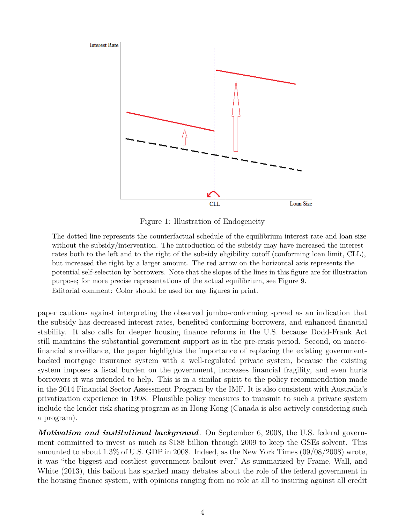

Figure 1: Illustration of Endogeneity

The dotted line represents the counterfactual schedule of the equilibrium interest rate and loan size without the subsidy/intervention. The introduction of the subsidy may have increased the interest rates both to the left and to the right of the subsidy eligibility cutoff (conforming loan limit, CLL), but increased the right by a larger amount. The red arrow on the horizontal axis represents the potential self-selection by borrowers. Note that the slopes of the lines in this figure are for illustration purpose; for more precise representations of the actual equilibrium, see Figure 9. Editorial comment: Color should be used for any figures in print.

paper cautions against interpreting the observed jumbo-conforming spread as an indication that the subsidy has decreased interest rates, benefited conforming borrowers, and enhanced financial stability. It also calls for deeper housing finance reforms in the U.S. because Dodd-Frank Act still maintains the substantial government support as in the pre-crisis period. Second, on macrofinancial surveillance, the paper highlights the importance of replacing the existing governmentbacked mortgage insurance system with a well-regulated private system, because the existing system imposes a fiscal burden on the government, increases financial fragility, and even hurts borrowers it was intended to help. This is in a similar spirit to the policy recommendation made in the 2014 Financial Sector Assessment Program by the IMF. It is also consistent with Australia's privatization experience in 1998. Plausible policy measures to transmit to such a private system include the lender risk sharing program as in Hong Kong (Canada is also actively considering such a program).

*Motivation and institutional background.* On September 6, 2008, the U.S. federal government committed to invest as much as \$188 billion through 2009 to keep the GSEs solvent. This amounted to about 1.3% of U.S. GDP in 2008. Indeed, as the New York Times (09/08/2008) wrote, it was "the biggest and costliest government bailout ever." As summarized by Frame, Wall, and White (2013), this bailout has sparked many debates about the role of the federal government in the housing finance system, with opinions ranging from no role at all to insuring against all credit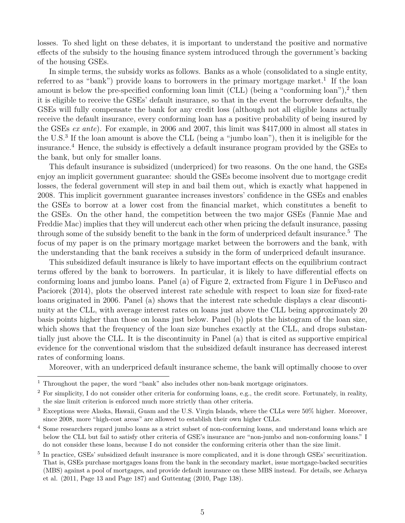losses. To shed light on these debates, it is important to understand the positive and normative effects of the subsidy to the housing finance system introduced through the government's backing of the housing GSEs.

In simple terms, the subsidy works as follows. Banks as a whole (consolidated to a single entity, referred to as "bank") provide loans to borrowers in the primary mortgage market.<sup>1</sup> If the loan amount is below the pre-specified conforming loan limit (CLL) (being a "conforming loan"),<sup>2</sup> then it is eligible to receive the GSEs' default insurance, so that in the event the borrower defaults, the GSEs will fully compensate the bank for any credit loss (although not all eligible loans actually receive the default insurance, every conforming loan has a positive probability of being insured by the GSEs *ex ante*). For example, in 2006 and 2007, this limit was \$417,000 in almost all states in the U.S.<sup>3</sup> If the loan amount is above the CLL (being a "jumbo loan"), then it is ineligible for the insurance.<sup>4</sup> Hence, the subsidy is effectively a default insurance program provided by the GSEs to the bank, but only for smaller loans.

This default insurance is subsidized (underpriced) for two reasons. On the one hand, the GSEs enjoy an implicit government guarantee: should the GSEs become insolvent due to mortgage credit losses, the federal government will step in and bail them out, which is exactly what happened in 2008. This implicit government guarantee increases investors' confidence in the GSEs and enables the GSEs to borrow at a lower cost from the financial market, which constitutes a benefit to the GSEs. On the other hand, the competition between the two major GSEs (Fannie Mae and Freddie Mac) implies that they will undercut each other when pricing the default insurance, passing through some of the subsidy benefit to the bank in the form of underpriced default insurance.<sup>5</sup> The focus of my paper is on the primary mortgage market between the borrowers and the bank, with the understanding that the bank receives a subsidy in the form of underpriced default insurance.

This subsidized default insurance is likely to have important effects on the equilibrium contract terms offered by the bank to borrowers. In particular, it is likely to have differential effects on conforming loans and jumbo loans. Panel (a) of Figure 2, extracted from Figure 1 in DeFusco and Paciorek (2014), plots the observed interest rate schedule with respect to loan size for fixed-rate loans originated in 2006. Panel (a) shows that the interest rate schedule displays a clear discontinuity at the CLL, with average interest rates on loans just above the CLL being approximately 20 basis points higher than those on loans just below. Panel (b) plots the histogram of the loan size, which shows that the frequency of the loan size bunches exactly at the CLL, and drops substantially just above the CLL. It is the discontinuity in Panel (a) that is cited as supportive empirical evidence for the conventional wisdom that the subsidized default insurance has decreased interest rates of conforming loans.

Moreover, with an underpriced default insurance scheme, the bank will optimally choose to over

<sup>&</sup>lt;sup>1</sup> Throughout the paper, the word "bank" also includes other non-bank mortgage originators.

 $2$  For simplicity, I do not consider other criteria for conforming loans, e.g., the credit score. Fortunately, in reality, the size limit criterion is enforced much more strictly than other criteria.

<sup>3</sup> Exceptions were Alaska, Hawaii, Guam and the U.S. Virgin Islands, where the CLLs were 50% higher. Moreover, since 2008, more "high-cost areas" are allowed to establish their own higher CLLs.

<sup>&</sup>lt;sup>4</sup> Some researchers regard jumbo loans as a strict subset of non-conforming loans, and understand loans which are below the CLL but fail to satisfy other criteria of GSE's insurance are "non-jumbo and non-conforming loans." I do not consider these loans, because I do not consider the conforming criteria other than the size limit.

<sup>5</sup> In practice, GSEs' subsidized default insurance is more complicated, and it is done through GSEs' securitization. That is, GSEs purchase mortgages loans from the bank in the secondary market, issue mortgage-backed securities (MBS) against a pool of mortgages, and provide default insurance on these MBS instead. For details, see Acharya et al. (2011, Page 13 and Page 187) and Guttentag (2010, Page 138).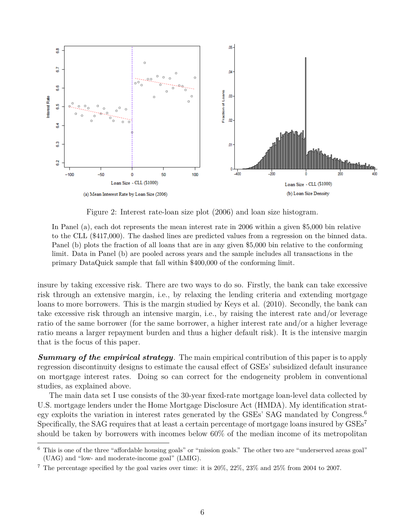

Figure 2: Interest rate-loan size plot (2006) and loan size histogram.

In Panel (a), each dot represents the mean interest rate in 2006 within a given \$5,000 bin relative to the CLL (\$417,000). The dashed lines are predicted values from a regression on the binned data. Panel (b) plots the fraction of all loans that are in any given \$5,000 bin relative to the conforming limit. Data in Panel (b) are pooled across years and the sample includes all transactions in the primary DataQuick sample that fall within \$400,000 of the conforming limit.

insure by taking excessive risk. There are two ways to do so. Firstly, the bank can take excessive risk through an extensive margin, i.e., by relaxing the lending criteria and extending mortgage loans to more borrowers. This is the margin studied by Keys et al. (2010). Secondly, the bank can take excessive risk through an intensive margin, i.e., by raising the interest rate and/or leverage ratio of the same borrower (for the same borrower, a higher interest rate and/or a higher leverage ratio means a larger repayment burden and thus a higher default risk). It is the intensive margin that is the focus of this paper.

*Summary of the empirical strategy.* The main empirical contribution of this paper is to apply regression discontinuity designs to estimate the causal effect of GSEs' subsidized default insurance on mortgage interest rates. Doing so can correct for the endogeneity problem in conventional studies, as explained above.

The main data set I use consists of the 30-year fixed-rate mortgage loan-level data collected by U.S. mortgage lenders under the Home Mortgage Disclosure Act (HMDA). My identification strategy exploits the variation in interest rates generated by the GSEs' SAG mandated by Congress.<sup>6</sup> Specifically, the SAG requires that at least a certain percentage of mortgage loans insured by GSEs<sup>7</sup> should be taken by borrowers with incomes below 60% of the median income of its metropolitan

<sup>6</sup> This is one of the three "affordable housing goals" or "mission goals." The other two are "underserved areas goal" (UAG) and "low- and moderate-income goal" (LMIG).

<sup>&</sup>lt;sup>7</sup> The percentage specified by the goal varies over time: it is  $20\%$ ,  $22\%$ ,  $23\%$  and  $25\%$  from 2004 to 2007.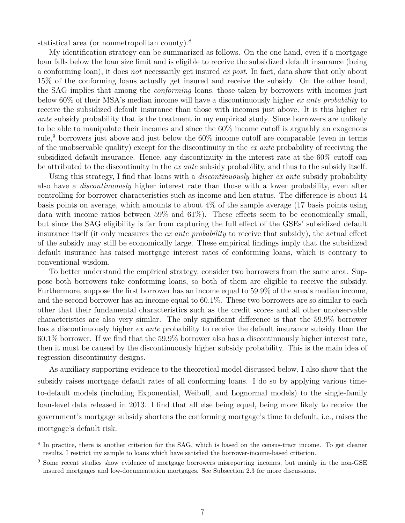statistical area (or nonmetropolitan county).<sup>8</sup>

My identification strategy can be summarized as follows. On the one hand, even if a mortgage loan falls below the loan size limit and is eligible to receive the subsidized default insurance (being a conforming loan), it does *not* necessarily get insured *ex post*. In fact, data show that only about 15% of the conforming loans actually get insured and receive the subsidy. On the other hand, the SAG implies that among the *conforming* loans, those taken by borrowers with incomes just below 60% of their MSA's median income will have a discontinuously higher *ex ante probability* to receive the subsidized default insurance than those with incomes just above. It is this higher *ex ante* subsidy probability that is the treatment in my empirical study. Since borrowers are unlikely to be able to manipulate their incomes and since the 60% income cutoff is arguably an exogenous rule,<sup>9</sup> borrowers just above and just below the  $60\%$  income cutoff are comparable (even in terms of the unobservable quality) except for the discontinuity in the *ex ante* probability of receiving the subsidized default insurance. Hence, any discontinuity in the interest rate at the 60% cutoff can be attributed to the discontinuity in the *ex ante* subsidy probability, and thus to the subsidy itself.

Using this strategy, I find that loans with a *discontinuously* higher *ex ante* subsidy probability also have a *discontinuously* higher interest rate than those with a lower probability, even after controlling for borrower characteristics such as income and lien status. The difference is about 14 basis points on average, which amounts to about 4% of the sample average (17 basis points using data with income ratios between 59% and 61%). These effects seem to be economically small, but since the SAG eligibility is far from capturing the full effect of the GSEs' subsidized default insurance itself (it only measures the *ex ante probability* to receive that subsidy), the actual effect of the subsidy may still be economically large. These empirical findings imply that the subsidized default insurance has raised mortgage interest rates of conforming loans, which is contrary to conventional wisdom.

To better understand the empirical strategy, consider two borrowers from the same area. Suppose both borrowers take conforming loans, so both of them are eligible to receive the subsidy. Furthermore, suppose the first borrower has an income equal to 59.9% of the area's median income, and the second borrower has an income equal to 60.1%. These two borrowers are so similar to each other that their fundamental characteristics such as the credit scores and all other unobservable characteristics are also very similar. The only significant difference is that the 59.9% borrower has a discontinuously higher *ex ante* probability to receive the default insurance subsidy than the 60.1% borrower. If we find that the 59.9% borrower also has a discontinuously higher interest rate, then it must be caused by the discontinuously higher subsidy probability. This is the main idea of regression discontinuity designs.

As auxiliary supporting evidence to the theoretical model discussed below, I also show that the subsidy raises mortgage default rates of all conforming loans. I do so by applying various timeto-default models (including Exponential, Weibull, and Lognormal models) to the single-family loan-level data released in 2013. I find that all else being equal, being more likely to receive the government's mortgage subsidy shortens the conforming mortgage's time to default, i.e., raises the mortgage's default risk.

<sup>&</sup>lt;sup>8</sup> In practice, there is another criterion for the SAG, which is based on the census-tract income. To get cleaner results, I restrict my sample to loans which have satisfied the borrower-income-based criterion.

<sup>&</sup>lt;sup>9</sup> Some recent studies show evidence of mortgage borrowers misreporting incomes, but mainly in the non-GSE insured mortgages and low-documentation mortgages. See Subsection 2.3 for more discussions.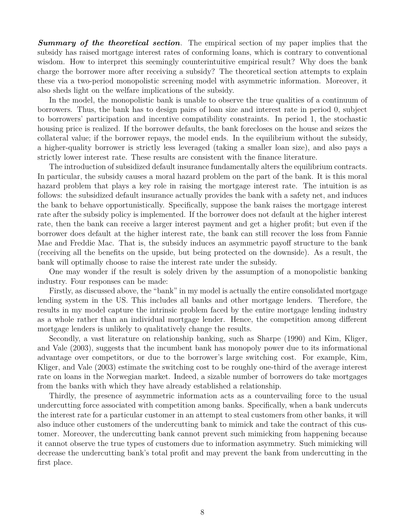*Summary of the theoretical section*. The empirical section of my paper implies that the subsidy has raised mortgage interest rates of conforming loans, which is contrary to conventional wisdom. How to interpret this seemingly counterintuitive empirical result? Why does the bank charge the borrower more after receiving a subsidy? The theoretical section attempts to explain these via a two-period monopolistic screening model with asymmetric information. Moreover, it also sheds light on the welfare implications of the subsidy.

In the model, the monopolistic bank is unable to observe the true qualities of a continuum of borrowers. Thus, the bank has to design pairs of loan size and interest rate in period 0, subject to borrowers' participation and incentive compatibility constraints. In period 1, the stochastic housing price is realized. If the borrower defaults, the bank forecloses on the house and seizes the collateral value; if the borrower repays, the model ends. In the equilibrium without the subsidy, a higher-quality borrower is strictly less leveraged (taking a smaller loan size), and also pays a strictly lower interest rate. These results are consistent with the finance literature.

The introduction of subsidized default insurance fundamentally alters the equilibrium contracts. In particular, the subsidy causes a moral hazard problem on the part of the bank. It is this moral hazard problem that plays a key role in raising the mortgage interest rate. The intuition is as follows: the subsidized default insurance actually provides the bank with a safety net, and induces the bank to behave opportunistically. Specifically, suppose the bank raises the mortgage interest rate after the subsidy policy is implemented. If the borrower does not default at the higher interest rate, then the bank can receive a larger interest payment and get a higher profit; but even if the borrower does default at the higher interest rate, the bank can still recover the loss from Fannie Mae and Freddie Mac. That is, the subsidy induces an asymmetric payoff structure to the bank (receiving all the benefits on the upside, but being protected on the downside). As a result, the bank will optimally choose to raise the interest rate under the subsidy.

One may wonder if the result is solely driven by the assumption of a monopolistic banking industry. Four responses can be made:

Firstly, as discussed above, the "bank" in my model is actually the entire consolidated mortgage lending system in the US. This includes all banks and other mortgage lenders. Therefore, the results in my model capture the intrinsic problem faced by the entire mortgage lending industry as a whole rather than an individual mortgage lender. Hence, the competition among different mortgage lenders is unlikely to qualitatively change the results.

Secondly, a vast literature on relationship banking, such as Sharpe (1990) and Kim, Kliger, and Vale (2003), suggests that the incumbent bank has monopoly power due to its informational advantage over competitors, or due to the borrower's large switching cost. For example, Kim, Kliger, and Vale (2003) estimate the switching cost to be roughly one-third of the average interest rate on loans in the Norwegian market. Indeed, a sizable number of borrowers do take mortgages from the banks with which they have already established a relationship.

Thirdly, the presence of asymmetric information acts as a countervailing force to the usual undercutting force associated with competition among banks. Specifically, when a bank undercuts the interest rate for a particular customer in an attempt to steal customers from other banks, it will also induce other customers of the undercutting bank to mimick and take the contract of this customer. Moreover, the undercutting bank cannot prevent such mimicking from happening because it cannot observe the true types of customers due to information asymmetry. Such mimicking will decrease the undercutting bank's total profit and may prevent the bank from undercutting in the first place.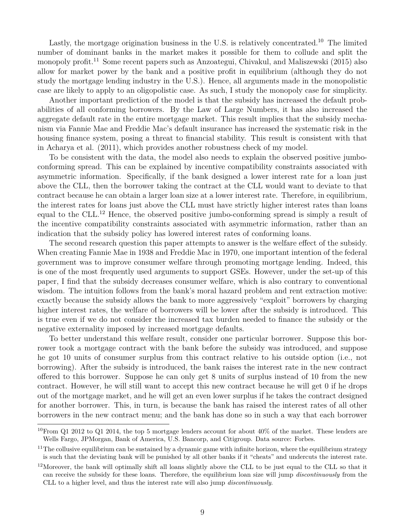Lastly, the mortgage origination business in the U.S. is relatively concentrated.<sup>10</sup> The limited number of dominant banks in the market makes it possible for them to collude and split the monopoly profit.<sup>11</sup> Some recent papers such as Anzoategui, Chivakul, and Maliszewski (2015) also allow for market power by the bank and a positive profit in equilibrium (although they do not study the mortgage lending industry in the U.S.). Hence, all arguments made in the monopolistic case are likely to apply to an oligopolistic case. As such, I study the monopoly case for simplicity.

Another important prediction of the model is that the subsidy has increased the default probabilities of all conforming borrowers. By the Law of Large Numbers, it has also increased the aggregate default rate in the entire mortgage market. This result implies that the subsidy mechanism via Fannie Mae and Freddie Mac's default insurance has increased the systematic risk in the housing finance system, posing a threat to financial stability. This result is consistent with that in Acharya et al. (2011), which provides another robustness check of my model.

To be consistent with the data, the model also needs to explain the observed positive jumboconforming spread. This can be explained by incentive compatibility constraints associated with asymmetric information. Specifically, if the bank designed a lower interest rate for a loan just above the CLL, then the borrower taking the contract at the CLL would want to deviate to that contract because he can obtain a larger loan size at a lower interest rate. Therefore, in equilibrium, the interest rates for loans just above the CLL must have strictly higher interest rates than loans equal to the CLL.<sup>12</sup> Hence, the observed positive jumbo-conforming spread is simply a result of the incentive compatibility constraints associated with asymmetric information, rather than an indication that the subsidy policy has lowered interest rates of conforming loans.

The second research question this paper attempts to answer is the welfare effect of the subsidy. When creating Fannie Mae in 1938 and Freddie Mac in 1970, one important intention of the federal government was to improve consumer welfare through promoting mortgage lending. Indeed, this is one of the most frequently used arguments to support GSEs. However, under the set-up of this paper, I find that the subsidy decreases consumer welfare, which is also contrary to conventional wisdom. The intuition follows from the bank's moral hazard problem and rent extraction motive: exactly because the subsidy allows the bank to more aggressively "exploit" borrowers by charging higher interest rates, the welfare of borrowers will be lower after the subsidy is introduced. This is true even if we do not consider the increased tax burden needed to finance the subsidy or the negative externality imposed by increased mortgage defaults.

To better understand this welfare result, consider one particular borrower. Suppose this borrower took a mortgage contract with the bank before the subsidy was introduced, and suppose he got 10 units of consumer surplus from this contract relative to his outside option (i.e., not borrowing). After the subsidy is introduced, the bank raises the interest rate in the new contract offered to this borrower. Suppose he can only get 8 units of surplus instead of 10 from the new contract. However, he will still want to accept this new contract because he will get 0 if he drops out of the mortgage market, and he will get an even lower surplus if he takes the contract designed for another borrower. This, in turn, is because the bank has raised the interest rates of all other borrowers in the new contract menu; and the bank has done so in such a way that each borrower

<sup>&</sup>lt;sup>10</sup>From Q1 2012 to Q1 2014, the top 5 mortgage lenders account for about  $40\%$  of the market. These lenders are Wells Fargo, JPMorgan, Bank of America, U.S. Bancorp, and Citigroup. Data source: Forbes.

 $11$ The collusive equilibrium can be sustained by a dynamic game with infinite horizon, where the equilibrium strategy is such that the deviating bank will be punished by all other banks if it "cheats" and undercuts the interest rate.

 $12$ Moreover, the bank will optimally shift all loans slightly above the CLL to be just equal to the CLL so that it can receive the subsidy for these loans. Therefore, the equilibrium loan size will jump *discontinuously* from the CLL to a higher level, and thus the interest rate will also jump *discontinuously*.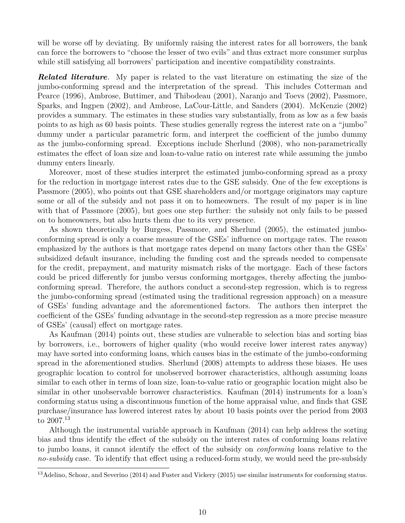will be worse off by deviating. By uniformly raising the interest rates for all borrowers, the bank can force the borrowers to "choose the lesser of two evils" and thus extract more consumer surplus while still satisfying all borrowers' participation and incentive compatibility constraints.

*Related literature.* My paper is related to the vast literature on estimating the size of the jumbo-conforming spread and the interpretation of the spread. This includes Cotterman and Pearce (1996), Ambrose, Buttimer, and Thibodeau (2001), Naranjo and Toevs (2002), Passmore, Sparks, and Ingpen (2002), and Ambrose, LaCour-Little, and Sanders (2004). McKenzie (2002) provides a summary. The estimates in these studies vary substantially, from as low as a few basis points to as high as 60 basis points. These studies generally regress the interest rate on a "jumbo" dummy under a particular parametric form, and interpret the coefficient of the jumbo dummy as the jumbo-conforming spread. Exceptions include Sherlund (2008), who non-parametrically estimates the effect of loan size and loan-to-value ratio on interest rate while assuming the jumbo dummy enters linearly.

Moreover, most of these studies interpret the estimated jumbo-conforming spread as a proxy for the reduction in mortgage interest rates due to the GSE subsidy. One of the few exceptions is Passmore (2005), who points out that GSE shareholders and/or mortgage originators may capture some or all of the subsidy and not pass it on to homeowners. The result of my paper is in line with that of Passmore (2005), but goes one step further: the subsidy not only fails to be passed on to homeowners, but also hurts them due to its very presence.

As shown theoretically by Burgess, Passmore, and Sherlund (2005), the estimated jumboconforming spread is only a coarse measure of the GSEs' influence on mortgage rates. The reason emphasized by the authors is that mortgage rates depend on many factors other than the GSEs' subsidized default insurance, including the funding cost and the spreads needed to compensate for the credit, prepayment, and maturity mismatch risks of the mortgage. Each of these factors could be priced differently for jumbo versus conforming mortgages, thereby affecting the jumboconforming spread. Therefore, the authors conduct a second-step regression, which is to regress the jumbo-conforming spread (estimated using the traditional regression approach) on a measure of GSEs' funding advantage and the aforementioned factors. The authors then interpret the coefficient of the GSEs' funding advantage in the second-step regression as a more precise measure of GSEs' (causal) effect on mortgage rates.

As Kaufman (2014) points out, these studies are vulnerable to selection bias and sorting bias by borrowers, i.e., borrowers of higher quality (who would receive lower interest rates anyway) may have sorted into conforming loans, which causes bias in the estimate of the jumbo-conforming spread in the aforementioned studies. Sherlund (2008) attempts to address these biases. He uses geographic location to control for unobserved borrower characteristics, although assuming loans similar to each other in terms of loan size, loan-to-value ratio or geographic location might also be similar in other unobservable borrower characteristics. Kaufman (2014) instruments for a loan's conforming status using a discontinuous function of the home appraisal value, and finds that GSE purchase/insurance has lowered interest rates by about 10 basis points over the period from 2003 to 2007.<sup>13</sup>

Although the instrumental variable approach in Kaufman (2014) can help address the sorting bias and thus identify the effect of the subsidy on the interest rates of conforming loans relative to jumbo loans, it cannot identify the effect of the subsidy on *conforming* loans relative to the *no-subsidy* case. To identify that effect using a reduced-form study, we would need the pre-subsidy

<sup>&</sup>lt;sup>13</sup>Adelino, Schoar, and Severino (2014) and Fuster and Vickery (2015) use similar instruments for conforming status.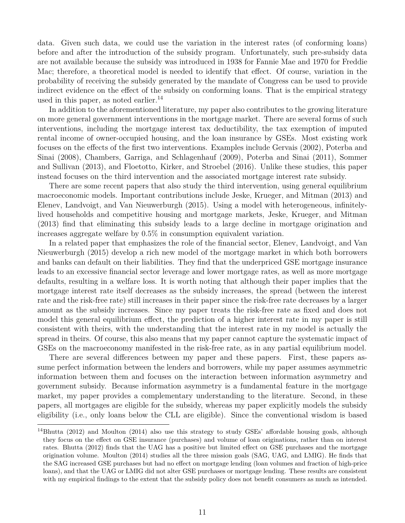data. Given such data, we could use the variation in the interest rates (of conforming loans) before and after the introduction of the subsidy program. Unfortunately, such pre-subsidy data are not available because the subsidy was introduced in 1938 for Fannie Mae and 1970 for Freddie Mac; therefore, a theoretical model is needed to identify that effect. Of course, variation in the probability of receiving the subsidy generated by the mandate of Congress can be used to provide indirect evidence on the effect of the subsidy on conforming loans. That is the empirical strategy used in this paper, as noted earlier.<sup>14</sup>

In addition to the aforementioned literature, my paper also contributes to the growing literature on more general government interventions in the mortgage market. There are several forms of such interventions, including the mortgage interest tax deductibility, the tax exemption of imputed rental income of owner-occupied housing, and the loan insurance by GSEs. Most existing work focuses on the effects of the first two interventions. Examples include Gervais (2002), Poterba and Sinai (2008), Chambers, Garriga, and Schlagenhauf (2009), Poterba and Sinai (2011), Sommer and Sullivan (2013), and Floetotto, Kirker, and Stroebel (2016). Unlike these studies, this paper instead focuses on the third intervention and the associated mortgage interest rate subsidy.

There are some recent papers that also study the third intervention, using general equilibrium macroeconomic models. Important contributions include Jeske, Krueger, and Mitman (2013) and Elenev, Landvoigt, and Van Nieuwerburgh (2015). Using a model with heterogeneous, infinitelylived households and competitive housing and mortgage markets, Jeske, Krueger, and Mitman (2013) find that eliminating this subsidy leads to a large decline in mortgage origination and increases aggregate welfare by 0.5% in consumption equivalent variation.

In a related paper that emphasizes the role of the financial sector, Elenev, Landvoigt, and Van Nieuwerburgh (2015) develop a rich new model of the mortgage market in which both borrowers and banks can default on their liabilities. They find that the underpriced GSE mortgage insurance leads to an excessive financial sector leverage and lower mortgage rates, as well as more mortgage defaults, resulting in a welfare loss. It is worth noting that although their paper implies that the mortgage interest rate itself decreases as the subsidy increases, the spread (between the interest rate and the risk-free rate) still increases in their paper since the risk-free rate decreases by a larger amount as the subsidy increases. Since my paper treats the risk-free rate as fixed and does not model this general equilibrium effect, the prediction of a higher interest rate in my paper is still consistent with theirs, with the understanding that the interest rate in my model is actually the spread in theirs. Of course, this also means that my paper cannot capture the systematic impact of GSEs on the macroeconomy manifested in the risk-free rate, as in any partial equilibrium model.

There are several differences between my paper and these papers. First, these papers assume perfect information between the lenders and borrowers, while my paper assumes asymmetric information between them and focuses on the interaction between information asymmetry and government subsidy. Because information asymmetry is a fundamental feature in the mortgage market, my paper provides a complementary understanding to the literature. Second, in these papers, all mortgages are eligible for the subsidy, whereas my paper explicitly models the subsidy eligibility (i.e., only loans below the CLL are eligible). Since the conventional wisdom is based

<sup>&</sup>lt;sup>14</sup>Bhutta (2012) and Moulton (2014) also use this strategy to study GSEs' affordable housing goals, although they focus on the effect on GSE insurance (purchases) and volume of loan originations, rather than on interest rates. Bhutta (2012) finds that the UAG has a positive but limited effect on GSE purchases and the mortgage origination volume. Moulton (2014) studies all the three mission goals (SAG, UAG, and LMIG). He finds that the SAG increased GSE purchases but had no effect on mortgage lending (loan volumes and fraction of high-price loans), and that the UAG or LMIG did not alter GSE purchases or mortgage lending. These results are consistent with my empirical findings to the extent that the subsidy policy does not benefit consumers as much as intended.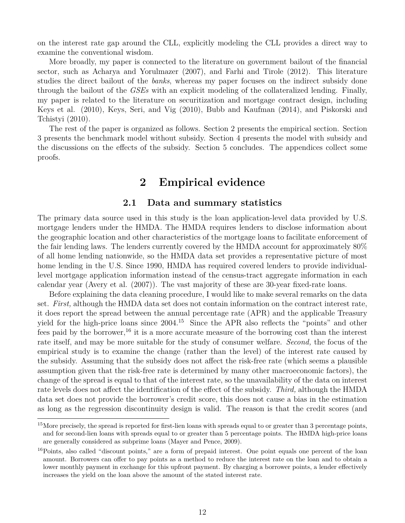on the interest rate gap around the CLL, explicitly modeling the CLL provides a direct way to examine the conventional wisdom.

More broadly, my paper is connected to the literature on government bailout of the financial sector, such as Acharya and Yorulmazer (2007), and Farhi and Tirole (2012). This literature studies the direct bailout of the *banks*, whereas my paper focuses on the indirect subsidy done through the bailout of the *GSEs* with an explicit modeling of the collateralized lending. Finally, my paper is related to the literature on securitization and mortgage contract design, including Keys et al. (2010), Keys, Seri, and Vig (2010), Bubb and Kaufman (2014), and Piskorski and Tchistyi (2010).

The rest of the paper is organized as follows. Section 2 presents the empirical section. Section 3 presents the benchmark model without subsidy. Section 4 presents the model with subsidy and the discussions on the effects of the subsidy. Section 5 concludes. The appendices collect some proofs.

# **2 Empirical evidence**

## **2.1 Data and summary statistics**

The primary data source used in this study is the loan application-level data provided by U.S. mortgage lenders under the HMDA. The HMDA requires lenders to disclose information about the geographic location and other characteristics of the mortgage loans to facilitate enforcement of the fair lending laws. The lenders currently covered by the HMDA account for approximately 80% of all home lending nationwide, so the HMDA data set provides a representative picture of most home lending in the U.S. Since 1990, HMDA has required covered lenders to provide individuallevel mortgage application information instead of the census-tract aggregate information in each calendar year (Avery et al. (2007)). The vast majority of these are 30-year fixed-rate loans.

Before explaining the data cleaning procedure, I would like to make several remarks on the data set. *First,* although the HMDA data set does not contain information on the contract interest rate, it does report the spread between the annual percentage rate (APR) and the applicable Treasury yield for the high-price loans since 2004.<sup>15</sup> Since the APR also reflects the "points" and other fees paid by the borrower,<sup>16</sup> it is a more accurate measure of the borrowing cost than the interest rate itself, and may be more suitable for the study of consumer welfare. *Second,* the focus of the empirical study is to examine the change (rather than the level) of the interest rate caused by the subsidy. Assuming that the subsidy does not affect the risk-free rate (which seems a plausible assumption given that the risk-free rate is determined by many other macroeconomic factors), the change of the spread is equal to that of the interest rate, so the unavailability of the data on interest rate levels does not affect the identification of the effect of the subsidy. *Third,* although the HMDA data set does not provide the borrower's credit score, this does not cause a bias in the estimation as long as the regression discontinuity design is valid. The reason is that the credit scores (and

<sup>&</sup>lt;sup>15</sup>More precisely, the spread is reported for first-lien loans with spreads equal to or greater than 3 percentage points, and for second-lien loans with spreads equal to or greater than 5 percentage points. The HMDA high-price loans are generally considered as subprime loans (Mayer and Pence, 2009).

<sup>&</sup>lt;sup>16</sup>Points, also called "discount points," are a form of prepaid interest. One point equals one percent of the loan amount. Borrowers can offer to pay points as a method to reduce the interest rate on the loan and to obtain a lower monthly payment in exchange for this upfront payment. By charging a borrower points, a lender effectively increases the yield on the loan above the amount of the stated interest rate.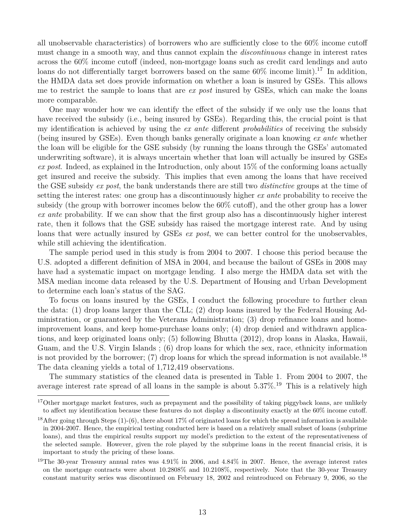all unobservable characteristics) of borrowers who are sufficiently close to the 60% income cutoff must change in a smooth way, and thus cannot explain the *discontinuous* change in interest rates across the 60% income cutoff (indeed, non-mortgage loans such as credit card lendings and auto loans do not differentially target borrowers based on the same  $60\%$  income limit).<sup>17</sup> In addition, the HMDA data set does provide information on whether a loan is insured by GSEs. This allows me to restrict the sample to loans that are *ex post* insured by GSEs, which can make the loans more comparable.

One may wonder how we can identify the effect of the subsidy if we only use the loans that have received the subsidy (i.e., being insured by GSEs). Regarding this, the crucial point is that my identification is achieved by using the *ex ante* different *probabilities* of receiving the subsidy (being insured by GSEs). Even though banks generally originate a loan knowing *ex ante* whether the loan will be eligible for the GSE subsidy (by running the loans through the GSEs' automated underwriting software), it is always uncertain whether that loan will actually be insured by GSEs *ex post*. Indeed, as explained in the Introduction, only about 15% of the conforming loans actually get insured and receive the subsidy. This implies that even among the loans that have received the GSE subsidy *ex post*, the bank understands there are still two *distinctive* groups at the time of setting the interest rates: one group has a discontinuously higher *ex ante* probability to receive the subsidy (the group with borrower incomes below the 60% cutoff), and the other group has a lower *ex ante* probability. If we can show that the first group also has a discontinuously higher interest rate, then it follows that the GSE subsidy has raised the mortgage interest rate. And by using loans that were actually insured by GSEs *ex post*, we can better control for the unobservables, while still achieving the identification.

The sample period used in this study is from 2004 to 2007. I choose this period because the U.S. adopted a different definition of MSA in 2004, and because the bailout of GSEs in 2008 may have had a systematic impact on mortgage lending. I also merge the HMDA data set with the MSA median income data released by the U.S. Department of Housing and Urban Development to determine each loan's status of the SAG.

To focus on loans insured by the GSEs, I conduct the following procedure to further clean the data: (1) drop loans larger than the CLL; (2) drop loans insured by the Federal Housing Administration, or guaranteed by the Veterans Administration; (3) drop refinance loans and homeimprovement loans, and keep home-purchase loans only; (4) drop denied and withdrawn applications, and keep originated loans only; (5) following Bhutta (2012), drop loans in Alaska, Hawaii, Guam, and the U.S. Virgin Islands ; (6) drop loans for which the sex, race, ethnicity information is not provided by the borrower;  $(7)$  drop loans for which the spread information is not available.<sup>18</sup> The data cleaning yields a total of 1,712,419 observations.

The summary statistics of the cleaned data is presented in Table 1. From 2004 to 2007, the average interest rate spread of all loans in the sample is about  $5.37\%$ .<sup>19</sup> This is a relatively high

 $17$ Other mortgage market features, such as prepayment and the possibility of taking piggyback loans, are unlikely to affect my identification because these features do not display a discontinuity exactly at the 60% income cutoff.

<sup>&</sup>lt;sup>18</sup>After going through Steps  $(1)-(6)$ , there about 17% of originated loans for which the spread information is available in 2004-2007. Hence, the empirical testing conducted here is based on a relatively small subset of loans (subprime loans), and thus the empirical results support my model's prediction to the extent of the representativeness of the selected sample. However, given the role played by the subprime loans in the recent financial crisis, it is important to study the pricing of these loans.

<sup>&</sup>lt;sup>19</sup>The 30-year Treasury annual rates was  $4.91\%$  in 2006, and  $4.84\%$  in 2007. Hence, the average interest rates on the mortgage contracts were about 10.2808% and 10.2108%, respectively. Note that the 30-year Treasury constant maturity series was discontinued on February 18, 2002 and reintroduced on February 9, 2006, so the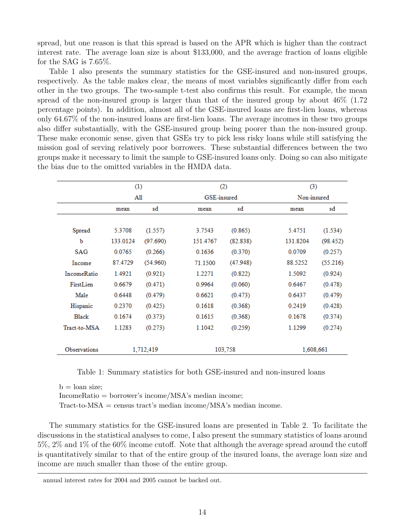spread, but one reason is that this spread is based on the APR which is higher than the contract interest rate. The average loan size is about \$133,000, and the average fraction of loans eligible for the SAG is 7.65%.

Table 1 also presents the summary statistics for the GSE-insured and non-insured groups, respectively. As the table makes clear, the means of most variables significantly differ from each other in the two groups. The two-sample t-test also confirms this result. For example, the mean spread of the non-insured group is larger than that of the insured group by about 46% (1.72 percentage points). In addition, almost all of the GSE-insured loans are first-lien loans, whereas only 64.67% of the non-insured loans are first-lien loans. The average incomes in these two groups also differ substantially, with the GSE-insured group being poorer than the non-insured group. These make economic sense, given that GSEs try to pick less risky loans while still satisfying the mission goal of serving relatively poor borrowers. These substantial differences between the two groups make it necessary to limit the sample to GSE-insured loans only. Doing so can also mitigate the bias due to the omitted variables in the HMDA data.

|                     | (1)        |           |             | (2)      | (3)         |          |  |  |
|---------------------|------------|-----------|-------------|----------|-------------|----------|--|--|
|                     | All        |           | GSE-insured |          | Non-insured |          |  |  |
|                     | sd<br>mean |           | mean        | sd       | mean        | sd       |  |  |
|                     |            |           |             |          |             |          |  |  |
| Spread              | 5.3708     | (1.557)   | 3.7543      | (0.865)  | 5.4751      | (1.534)  |  |  |
| b                   | 133.0124   | (97.690)  | 151.4767    | (82.838) | 131.8204    | (98.452) |  |  |
| <b>SAG</b>          | 0.0765     | (0.266)   | 0.1636      | (0.370)  | 0.0709      | (0.257)  |  |  |
| Income              | 87.4729    | (54.960)  | 71.1500     | (47.948) | 88.5252     | (55.216) |  |  |
| <b>IncomeRatio</b>  | 1.4921     | (0.921)   | 1.2271      | (0.822)  | 1.5092      | (0.924)  |  |  |
| FirstLien           | 0.6679     | (0.471)   | 0.9964      | (0.060)  | 0.6467      | (0.478)  |  |  |
| Male                | 0.6448     | (0.479)   | 0.6621      | (0.473)  | 0.6437      | (0.479)  |  |  |
| Hispanic            | 0.2370     | (0.425)   | 0.1618      | (0.368)  | 0.2419      | (0.428)  |  |  |
| Black               | 0.1674     | (0.373)   | 0.1615      | (0.368)  | 0.1678      | (0.374)  |  |  |
| Tract-to-MSA        | 1.1283     | (0.273)   | 1.1042      | (0.259)  | 1.1299      | (0.274)  |  |  |
|                     |            |           |             |          |             |          |  |  |
| <b>Observations</b> |            | 1,712,419 |             | 103,758  | 1,608,661   |          |  |  |

Table 1: Summary statistics for both GSE-insured and non-insured loans

 $b =$ loan size; IncomeRatio = borrower's income/MSA's median income; Tract-to-MSA = census tract's median income/MSA's median income.

The summary statistics for the GSE-insured loans are presented in Table 2. To facilitate the discussions in the statistical analyses to come, I also present the summary statistics of loans around 5%, 2% and 1% of the 60% income cutoff. Note that although the average spread around the cutoff is quantitatively similar to that of the entire group of the insured loans, the average loan size and income are much smaller than those of the entire group.

annual interest rates for 2004 and 2005 cannot be backed out.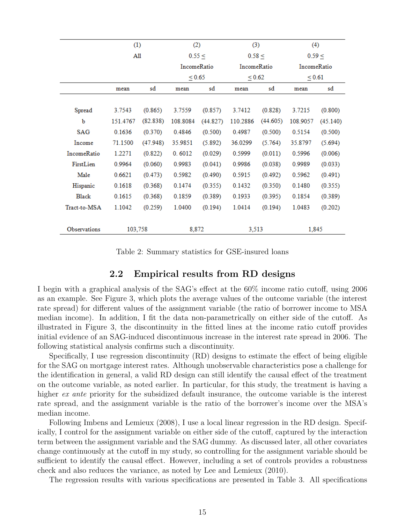|                                   | (1)      |          | (2)         |             | (3)         |                    | (4)         |             |
|-----------------------------------|----------|----------|-------------|-------------|-------------|--------------------|-------------|-------------|
|                                   |          | All      |             | 0.55 <      |             | 0.58 <             |             | 0.59 <      |
|                                   |          |          |             | IncomeRatio |             | <b>IncomeRatio</b> |             | IncomeRatio |
|                                   |          |          | ${}_{0.65}$ |             | ${}_{0.62}$ |                    | ${}_{0.61}$ |             |
|                                   | mean     | sd       | mean        | sd          | mean        | sd                 | mean        | sđ          |
|                                   |          |          |             |             |             |                    |             |             |
| Spread                            | 3.7543   | (0.865)  | 3.7559      | (0.857)     | 3.7412      | (0.828)            | 3.7215      | (0.800)     |
| b                                 | 151.4767 | (82.838) | 108.8084    | (44.827)    | 110.2886    | (44.605)           | 108.9057    | (45.140)    |
| <b>SAG</b>                        | 0.1636   | (0.370)  | 0.4846      | (0.500)     | 0.4987      | (0.500)            | 0.5154      | (0.500)     |
| Income                            | 71.1500  | (47.948) | 35.9851     | (5.892)     | 36.0299     | (5.764)            | 35.8797     | (5.694)     |
| IncomeRatio                       | 1.2271   | (0.822)  | 0.6012      | (0.029)     | 0.5999      | (0.011)            | 0.5996      | (0.006)     |
| FirstLien                         | 0.9964   | (0.060)  | 0.9983      | (0.041)     | 0.9986      | (0.038)            | 0.9989      | (0.033)     |
| Male                              | 0.6621   | (0.473)  | 0.5982      | (0.490)     | 0.5915      | (0.492)            | 0.5962      | (0.491)     |
| Hispanic                          | 0.1618   | (0.368)  | 0.1474      | (0.355)     | 0.1432      | (0.350)            | 0.1480      | (0.355)     |
| <b>Black</b>                      | 0.1615   | (0.368)  | 0.1859      | (0.389)     | 0.1933      | (0.395)            | 0.1854      | (0.389)     |
| 1.1042<br>Tract-to-MSA<br>(0.259) |          |          | 1.0400      | (0.194)     | 1.0414      | (0.194)            | 1.0483      | (0.202)     |
|                                   |          |          |             |             |             |                    |             |             |
| <b>Observations</b>               | 103.758  |          |             | 8,872       |             | 3,513              | 1,845       |             |

Table 2: Summary statistics for GSE-insured loans

## **2.2 Empirical results from RD designs**

I begin with a graphical analysis of the SAG's effect at the 60% income ratio cutoff, using 2006 as an example. See Figure 3, which plots the average values of the outcome variable (the interest rate spread) for different values of the assignment variable (the ratio of borrower income to MSA median income). In addition, I fit the data non-parametrically on either side of the cutoff. As illustrated in Figure 3, the discontinuity in the fitted lines at the income ratio cutoff provides initial evidence of an SAG-induced discontinuous increase in the interest rate spread in 2006. The following statistical analysis confirms such a discontinuity.

Specifically, I use regression discontinuity (RD) designs to estimate the effect of being eligible for the SAG on mortgage interest rates. Although unobservable characteristics pose a challenge for the identification in general, a valid RD design can still identify the causal effect of the treatment on the outcome variable, as noted earlier. In particular, for this study, the treatment is having a higher *ex ante* priority for the subsidized default insurance, the outcome variable is the interest rate spread, and the assignment variable is the ratio of the borrower's income over the MSA's median income.

Following Imbens and Lemieux (2008), I use a local linear regression in the RD design. Specifically, I control for the assignment variable on either side of the cutoff, captured by the interaction term between the assignment variable and the SAG dummy. As discussed later, all other covariates change continuously at the cutoff in my study, so controlling for the assignment variable should be sufficient to identify the causal effect. However, including a set of controls provides a robustness check and also reduces the variance, as noted by Lee and Lemieux (2010).

The regression results with various specifications are presented in Table 3. All specifications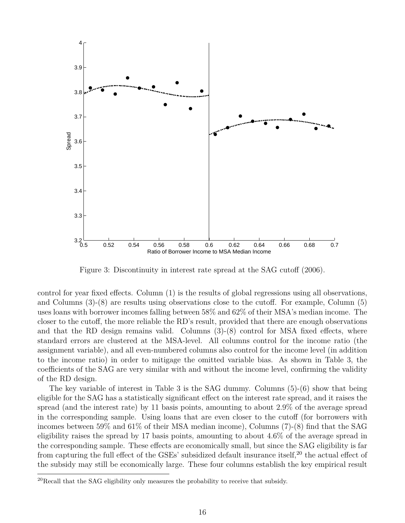

Figure 3: Discontinuity in interest rate spread at the SAG cutoff (2006).

control for year fixed effects. Column (1) is the results of global regressions using all observations, and Columns (3)-(8) are results using observations close to the cutoff. For example, Column (5) uses loans with borrower incomes falling between 58% and 62% of their MSA's median income. The closer to the cutoff, the more reliable the RD's result, provided that there are enough observations and that the RD design remains valid. Columns (3)-(8) control for MSA fixed effects, where standard errors are clustered at the MSA-level. All columns control for the income ratio (the assignment variable), and all even-numbered columns also control for the income level (in addition to the income ratio) in order to mitigage the omitted variable bias. As shown in Table 3, the coefficients of the SAG are very similar with and without the income level, confirming the validity of the RD design.

The key variable of interest in Table 3 is the SAG dummy. Columns (5)-(6) show that being eligible for the SAG has a statistically significant effect on the interest rate spread, and it raises the spread (and the interest rate) by 11 basis points, amounting to about 2.9% of the average spread in the corresponding sample. Using loans that are even closer to the cutoff (for borrowers with incomes between 59% and 61% of their MSA median income), Columns (7)-(8) find that the SAG eligibility raises the spread by 17 basis points, amounting to about 4.6% of the average spread in the corresponding sample. These effects are economically small, but since the SAG eligibility is far from capturing the full effect of the GSEs' subsidized default insurance itself,<sup>20</sup> the actual effect of the subsidy may still be economically large. These four columns establish the key empirical result

 $^{20}$ Recall that the SAG eligibility only measures the probability to receive that subsidy.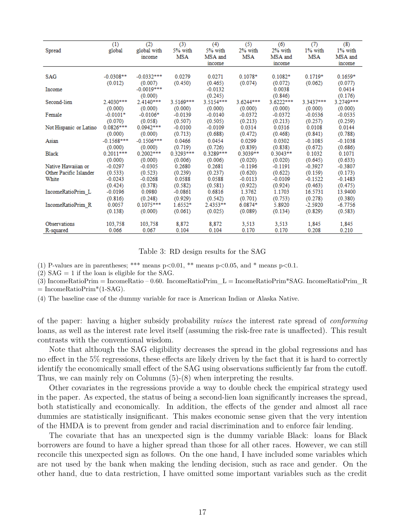| Spread                 | (1)<br>global | (2)<br>global with<br>income | (3)<br>5% with<br><b>MSA</b> | (4)<br>5% with<br>MSA and | (5)<br>2% with<br><b>MSA</b> | (6)<br>2% with<br>MSA and | (7)<br>1% with<br><b>MSA</b> | (8)<br>1% with<br>MSA and |
|------------------------|---------------|------------------------------|------------------------------|---------------------------|------------------------------|---------------------------|------------------------------|---------------------------|
|                        |               |                              |                              | income                    |                              | income                    |                              | income                    |
|                        |               |                              |                              |                           |                              |                           |                              |                           |
| <b>SAG</b>             | $-0.0308**$   | $-0.0332***$                 | 0.0279                       | 0.0271                    | $0.1078*$                    | $0.1082*$                 | $0.1719*$                    | $0.1659*$                 |
|                        | (0.012)       | (0.007)                      | (0.450)                      | (0.465)                   | (0.074)                      | (0.072)                   | (0.062)                      | (0.077)                   |
| Income                 |               | $-0.0019***$                 |                              | $-0.0132$                 |                              | 0.0038                    |                              | 0.0414                    |
|                        |               | (0.000)                      |                              | (0.245)                   |                              | (0.846)                   |                              | (0.176)                   |
| Second-lien            | 2.4030***     | 2.4140***                    | 3.5169***                    | 3.5154***                 | 3.6244***                    | 3.6222***                 | 3.3437***                    | 3.2749***                 |
|                        | (0.000)       | (0.000)                      | (0.000)                      | (0.000)                   | (0.000)                      | (0.000)                   | (0.000)                      | (0.000)                   |
| Female                 | $-0.0101*$    | $-0.0106*$                   | $-0.0139$                    | $-0.0140$                 | $-0.0372$                    | $-0.0372$                 | $-0.0536$                    | $-0.0535$                 |
|                        | (0.070)       | (0.058)                      | (0.507)                      | (0.505)                   | (0.213)                      | (0.213)                   | (0.257)                      | (0.259)                   |
| Not Hispanic or Latino | $0.0826***$   | $0.0942***$                  | $-0.0100$                    | $-0.0109$                 | 0.0314                       | 0.0316                    | 0.0108                       | 0.0144                    |
|                        | (0.000)       | (0.000)                      | (0.713)                      | (0.688)                   | (0.472)                      | (0.468)                   | (0.841)                      | (0.788)                   |
| Asian                  | $-0.1568***$  | $-0.1506***$                 | 0.0466                       | 0.0454                    | 0.0299                       | 0.0302                    | $-0.1085$                    | $-0.1038$                 |
|                        | (0.000)       | (0.000)                      | (0.719)                      | (0.726)                   | (0.839)                      | (0.838)                   | (0.672)                      | (0.686)                   |
| <b>Black</b>           | $0.2011***$   | $0.2002***$                  | 0.3293***                    | 0.3289***                 | $0.3039**$                   | $0.3043**$                | 0.1032                       | 0.1071                    |
|                        | (0.000)       | (0.000)                      | (0.006)                      | (0.006)                   | (0.020)                      | (0.020)                   | (0.645)                      | (0.633)                   |
| Native Hawaiian or     | $-0.0297$     | $-0.0305$                    | 0.2680                       | 0.2681                    | $-0.1196$                    | $-0.1191$                 | $-0.3927$                    | $-0.3807$                 |
| Other Pacific Islander | (0.533)       | (0.523)                      | (0.239)                      | (0.237)                   | (0.620)                      | (0.622)                   | (0.159)                      | (0.173)                   |
| White                  | $-0.0243$     | $-0.0268$                    | 0.0588                       | 0.0588                    | $-0.0113$                    | $-0.0109$                 | $-0.1522$                    | $-0.1483$                 |
|                        | (0.424)       | (0.378)                      | (0.582)                      | (0.581)                   | (0.922)                      | (0.924)                   | (0.463)                      | (0.475)                   |
| IncomeRatioPrim L      | $-0.0196$     | 0.0980                       | $-0.0861$                    | 0.6816                    | 1.3762                       | 1.1703                    | 16.5731                      | 13.9400                   |
|                        | (0.816)       | (0.248)                      | (0.929)                      | (0.542)                   | (0.701)                      | (0.753)                   | (0.278)                      | (0.380)                   |
| IncomeRatioPrim R      | 0.0057        | $0.1075***$                  | 1.6552*                      | 2.4353**                  | 6.0874*                      | 5.8920                    | $-2.5920$                    | $-6.7756$                 |
|                        | (0.138)       | (0.000)                      | (0.061)                      | (0.025)                   | (0.089)                      | (0.134)                   | (0.829)                      | (0.583)                   |
| Observations           | 103,758       | 103,758                      | 8,872                        | 8,872                     | 3,513                        | 3,513                     | 1,845                        | 1,845                     |
| R-squared              | 0.066         | 0.067                        | 0.104                        | 0.104                     | 0.170                        | 0.170                     | 0.208                        | 0.210                     |

Table 3: RD design results for the SAG

(1) P-values are in parentheses; \*\*\* means  $p<0.01$ , \*\* means  $p<0.05$ , and \* means  $p<0.1$ .

 $(2)$  SAG = 1 if the loan is eligible for the SAG.

(3) IncomeRatioPrim = IncomeRatio – 0.60. IncomeRatioPrim\_L = IncomeRatioPrim\*SAG. IncomeRatioPrim\_R  $=$  IncomeRatioPrim<sup>\*</sup>(1-SAG).

(4) The baseline case of the dummy variable for race is American Indian or Alaska Native.

of the paper: having a higher subsidy probability *raises* the interest rate spread of *conforming* loans, as well as the interest rate level itself (assuming the risk-free rate is unaffected). This result contrasts with the conventional wisdom.

Note that although the SAG eligibility decreases the spread in the global regressions and has no effect in the 5% regressions, these effects are likely driven by the fact that it is hard to correctly identify the economically small effect of the SAG using observations sufficiently far from the cutoff. Thus, we can mainly rely on Columns (5)-(8) when interpreting the results.

Other covariates in the regressions provide a way to double check the empirical strategy used in the paper. As expected, the status of being a second-lien loan significantly increases the spread, both statistically and economically. In addition, the effects of the gender and almost all race dummies are statistically insignificant. This makes economic sense given that the very intention of the HMDA is to prevent from gender and racial discrimination and to enforce fair lending.

The covariate that has an unexpected sign is the dummy variable Black: loans for Black borrowers are found to have a higher spread than those for all other races. However, we can still reconcile this unexpected sign as follows. On the one hand, I have included some variables which are not used by the bank when making the lending decision, such as race and gender. On the other hand, due to data restriction, I have omitted some important variables such as the credit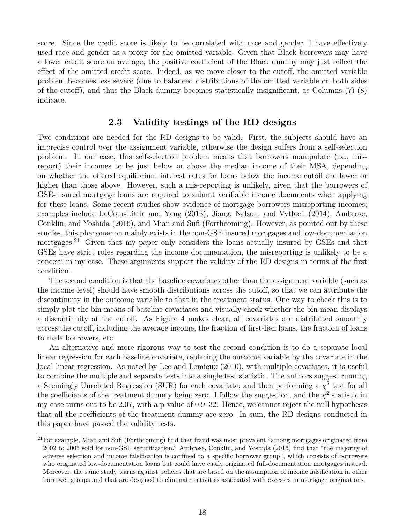score. Since the credit score is likely to be correlated with race and gender, I have effectively used race and gender as a proxy for the omitted variable. Given that Black borrowers may have a lower credit score on average, the positive coefficient of the Black dummy may just reflect the effect of the omitted credit score. Indeed, as we move closer to the cutoff, the omitted variable problem becomes less severe (due to balanced distributions of the omitted variable on both sides of the cutoff), and thus the Black dummy becomes statistically insignificant, as Columns (7)-(8) indicate.

## **2.3 Validity testings of the RD designs**

Two conditions are needed for the RD designs to be valid. First, the subjects should have an imprecise control over the assignment variable, otherwise the design suffers from a self-selection problem. In our case, this self-selection problem means that borrowers manipulate (i.e., misreport) their incomes to be just below or above the median income of their MSA, depending on whether the offered equilibrium interest rates for loans below the income cutoff are lower or higher than those above. However, such a mis-reporting is unlikely, given that the borrowers of GSE-insured mortgage loans are required to submit verifiable income documents when applying for these loans. Some recent studies show evidence of mortgage borrowers misreporting incomes; examples include LaCour-Little and Yang (2013), Jiang, Nelson, and Vytlacil (2014), Ambrose, Conklin, and Yoshida (2016), and Mian and Sufi (Forthcoming). However, as pointed out by these studies, this phenomenon mainly exists in the non-GSE insured mortgages and low-documentation mortgages.<sup>21</sup> Given that my paper only considers the loans actually insured by GSEs and that GSEs have strict rules regarding the income documentation, the misreporting is unlikely to be a concern in my case. These arguments support the validity of the RD designs in terms of the first condition.

The second condition is that the baseline covariates other than the assignment variable (such as the income level) should have smooth distributions across the cutoff, so that we can attribute the discontinuity in the outcome variable to that in the treatment status. One way to check this is to simply plot the bin means of baseline covariates and visually check whether the bin mean displays a discontinuity at the cutoff. As Figure 4 makes clear, all covariates are distributed smoothly across the cutoff, including the average income, the fraction of first-lien loans, the fraction of loans to male borrowers, etc.

An alternative and more rigorous way to test the second condition is to do a separate local linear regression for each baseline covariate, replacing the outcome variable by the covariate in the local linear regression. As noted by Lee and Lemieux (2010), with multiple covariates, it is useful to combine the multiple and separate tests into a single test statistic. The authors suggest running a Seemingly Unrelated Regression (SUR) for each covariate, and then performing a  $\chi^2$  test for all the coefficients of the treatment dummy being zero. I follow the suggestion, and the  $\chi^2$  statistic in my case turns out to be 2.07, with a p-value of 0.9132. Hence, we cannot reject the null hypothesis that all the coefficients of the treatment dummy are zero. In sum, the RD designs conducted in this paper have passed the validity tests.

<sup>&</sup>lt;sup>21</sup>For example, Mian and Sufi (Forthcoming) find that fraud was most prevalent "among mortgages originated from 2002 to 2005 sold for non-GSE securitization." Ambrose, Conklin, and Yoshida (2016) find that "the majority of adverse selection and income falsification is confined to a specific borrower group", which consists of borrowers who originated low-documentation loans but could have easily originated full-documentation mortgages instead. Moreover, the same study warns against policies that are based on the assumption of income falsification in other borrower groups and that are designed to eliminate activities associated with excesses in mortgage originations.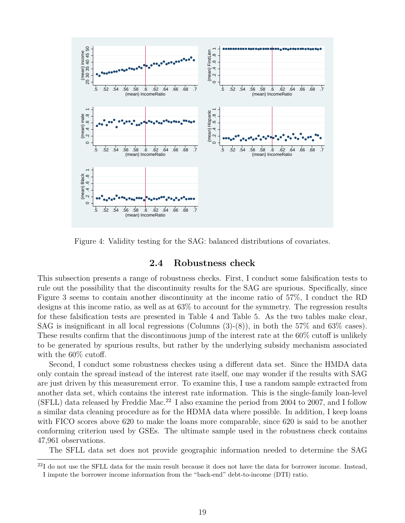

Figure 4: Validity testing for the SAG: balanced distributions of covariates.

## **2.4 Robustness check**

This subsection presents a range of robustness checks. First, I conduct some falsification tests to rule out the possibility that the discontinuity results for the SAG are spurious. Specifically, since Figure 3 seems to contain another discontinuity at the income ratio of 57%, I conduct the RD designs at this income ratio, as well as at 63% to account for the symmetry. The regression results for these falsification tests are presented in Table 4 and Table 5. As the two tables make clear, SAG is insignificant in all local regressions (Columns (3)-(8)), in both the 57% and 63% cases). These results confirm that the discontinuous jump of the interest rate at the 60% cutoff is unlikely to be generated by spurious results, but rather by the underlying subsidy mechanism associated with the  $60\%$  cutoff.

Second, I conduct some robustness checkes using a different data set. Since the HMDA data only contain the spread instead of the interest rate itself, one may wonder if the results with SAG are just driven by this measurement error. To examine this, I use a random sample extracted from another data set, which contains the interest rate information. This is the single-family loan-level  $(SFLL)$  data released by Freddie Mac.<sup>22</sup> I also examine the period from 2004 to 2007, and I follow a similar data cleaning procedure as for the HDMA data where possible. In addition, I keep loans with FICO scores above 620 to make the loans more comparable, since 620 is said to be another conforming criterion used by GSEs. The ultimate sample used in the robustness check contains 47,961 observations.

The SFLL data set does not provide geographic information needed to determine the SAG

 $^{22}I$  do not use the SFLL data for the main result because it does not have the data for borrower income. Instead, I impute the borrower income information from the "back-end" debt-to-income (DTI) ratio.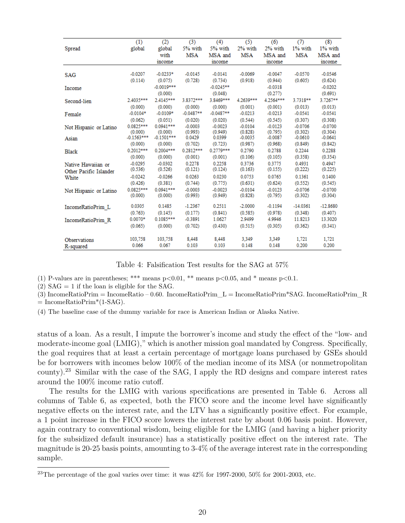| Spread                 | (1)          | (2)                     | (3)         | (4)                    | (5)       | (6)                  | (7)        | (8)                  |
|------------------------|--------------|-------------------------|-------------|------------------------|-----------|----------------------|------------|----------------------|
|                        | global       | global                  | 5% with     | 5% with                | 2% with   | 2% with              | 1% with    | 1% with              |
|                        |              | with<br>income          | <b>MSA</b>  | MSA and<br>income      | MSA       | MSA and<br>income    | MSA        | MSA and<br>income    |
| SAG                    | $-0.0207$    | $-0.0233*$              | $-0.0145$   | $-0.0141$              | $-0.0069$ | $-0.0047$            | $-0.0570$  | $-0.0546$            |
|                        | (0.114)      | (0.075)                 | (0.728)     | (0.734)                | (0.918)   | (0.944)              | (0.605)    | (0.624)              |
| Income                 |              | $-0.0019***$<br>(0.000) |             | $-0.0245**$<br>(0.048) |           | $-0.0318$<br>(0.277) |            | $-0.0202$<br>(0.691) |
| Second-lien            | 2.4035***    | 2.4145***               | 3.8372***   | 3.8469***              | 4.2639*** | 4.2564***            | 3.7318**   | 3.7267**             |
|                        | (0.000)      | (0.000)                 | (0.000)     | (0.000)                | (0.001)   | (0.001)              | (0.013)    | (0.013)              |
| Female                 | $-0.0104*$   | $-0.0109*$              | $-0.0487**$ | $-0.0487**$            | $-0.0213$ | $-0.0213$            | $-0.0541$  | $-0.0541$            |
|                        | (0.062)      | (0.051)                 | (0.020)     | (0.020)                | (0.544)   | (0.545)              | (0.307)    | (0.308)              |
| Not Hispanic or Latino | 0.0825***    | $0.0941***$             | $-0.0003$   | $-0.0023$              | $-0.0104$ | $-0.0123$            | $-0.0706$  | $-0.0700$            |
|                        | (0.000)      | (0.000)                 | (0.993)     | (0.949)                | (0.828)   | (0.795)              | (0.302)    | (0.304)              |
| Asian                  | $-0.1563***$ | $-0.1501***$            | 0.0429      | 0.0399                 | $-0.0035$ | $-0.0087$            | $-0.0610$  | $-0.0641$            |
|                        | (0.000)      | (0.000)                 | (0.702)     | (0.723)                | (0.987)   | (0.968)              | (0.849)    | (0.842)              |
| <b>Black</b>           | 0.2012***    | $0.2004***$             | 0.2812***   | 0.2779***              | 0.2790    | 0.2788               | 0.2244     | 0.2288               |
|                        | (0.000)      | (0.000)                 | (0.001)     | (0.001)                | (0.106)   | (0.105)              | (0.358)    | (0.354)              |
| Native Hawaiian or     | $-0.0295$    | $-0.0302$               | 0.2278      | 0.2258                 | 0.3736    | 0.3775               | 0.4931     | 0.4947               |
| Other Pacific Islander | (0.536)      | (0.526)                 | (0.121)     | (0.124)                | (0.163)   | (0.155)              | (0.222)    | (0.225)              |
| White                  | $-0.0242$    | $-0.0266$               | 0.0263      | 0.0230                 | 0.0753    | 0.0765               | 0.1361     | 0.1400               |
|                        | (0.426)      | (0.381)                 | (0.744)     | (0.775)                | (0.631)   | (0.624)              | (0.552)    | (0.545)              |
| Not Hispanic or Latino | 0.0825***    | $0.0941***$             | $-0.0003$   | $-0.0023$              | $-0.0104$ | $-0.0123$            | $-0.0706$  | $-0.0700$            |
|                        | (0.000)      | (0.000)                 | (0.993)     | (0.949)                | (0.828)   | (0.795)              | (0.302)    | (0.304)              |
| IncomeRatioPrim L      | 0.0305       | 0.1485                  | $-1.2367$   | 0.2511                 | $-2.0000$ | $-0.1194$            | $-14.0361$ | $-12.8680$           |
|                        | (0.763)      | (0.145)                 | (0.177)     | (0.841)                | (0.585)   | (0.978)              | (0.348)    | (0.407)              |
| IncomeRatioPrim R      | $0.0070*$    | $0.1085***$             | $-0.3891$   | 1.0627                 | 2.9499    | 4.9946               | 11.8213    | 13.3020              |
|                        | (0.065)      | (0.000)                 | (0.702)     | (0.430)                | (0.515)   | (0.305)              | (0.362)    | (0.341)              |
| <b>Observations</b>    | 103,758      | 103,758                 | 8,448       | 8,448                  | 3.349     | 3.349                | 1.721      | 1,721                |
| R-squared              | 0.066        | 0.067                   | 0.103       | 0.103                  | 0.148     | 0.148                | 0.200      | 0.200                |

Table 4: Falsification Test results for the SAG at 57%

(1) P-values are in parentheses; \*\*\* means  $p<0.01$ , \*\* means  $p<0.05$ , and \* means  $p<0.1$ .

 $(2)$  SAG = 1 if the loan is eligible for the SAG.

 $(3)$  IncomeRatioPrim = IncomeRatio – 0.60. IncomeRatioPrim L = IncomeRatioPrim\*SAG. IncomeRatioPrim R  $=$  IncomeRatioPrim<sup>\*</sup>(1-SAG).

(4) The baseline case of the dummy variable for race is American Indian or Alaska Native.

status of a loan. As a result, I impute the borrower's income and study the effect of the "low- and moderate-income goal (LMIG)," which is another mission goal mandated by Congress. Specifically, the goal requires that at least a certain percentage of mortgage loans purchased by GSEs should be for borrowers with incomes below 100% of the median income of its MSA (or nonmetropolitan county).<sup>23</sup> Similar with the case of the SAG, I apply the RD designs and compare interest rates around the 100% income ratio cutoff.

The results for the LMIG with various specifications are presented in Table 6. Across all columns of Table 6, as expected, both the FICO score and the income level have significantly negative effects on the interest rate, and the LTV has a significantly positive effect. For example, a 1 point increase in the FICO score lowers the interest rate by about 0.06 basis point. However, again contrary to conventional wisdom, being eligible for the LMIG (and having a higher priority for the subsidized default insurance) has a statistically positive effect on the interest rate. The magnitude is 20-25 basis points, amounting to 3-4% of the average interest rate in the corresponding sample.

<sup>&</sup>lt;sup>23</sup>The percentage of the goal varies over time: it was  $42\%$  for 1997-2000, 50% for 2001-2003, etc.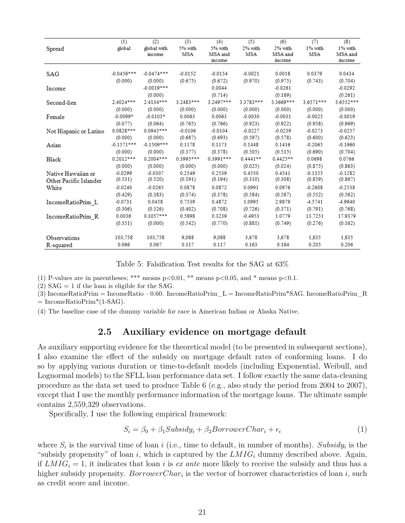| Spread                 | (1)<br>global | (2)<br>global with<br>income | (3)<br>5% with<br><b>MSA</b> | (4)<br>5% with<br>MSA and<br>income | (5)<br>2% with<br><b>MSA</b> | (6)<br>2% with<br>MSA and<br>income | $\overline{(\mathcal{I})}$<br>1% with<br><b>MSA</b> | (8)<br>1% with<br>MSA and<br>income |
|------------------------|---------------|------------------------------|------------------------------|-------------------------------------|------------------------------|-------------------------------------|-----------------------------------------------------|-------------------------------------|
| <b>SAG</b>             | $-0.0456***$  | $-0.0474***$                 | $-0.0152$                    | $-0.0154$                           | $-0.0021$                    | 0.0018                              | 0.0379                                              | 0.0434                              |
|                        | (0.000)       | (0.000)                      | (0.675)                      | (0.672)                             | (0.970)                      | (0.975)                             | (0.743)                                             | (0.704)                             |
| Income                 |               | $-0.0019***$<br>(0.000)      |                              | 0.0044<br>(0.714)                   |                              | $-0.0261$<br>(0.189)                |                                                     | $-0.0292$<br>(0.261)                |
| Second-lien            | 2.4024***     | 2.4134***                    | 3.2483***                    | 3.2497***                           | 3.3783***                    | 3.3669***                           | 3.6571***                                           | 3.6552***                           |
|                        | (0.000)       | (0.000)                      | (0.000)                      | (0.000)                             | (0.000)                      | (0.000)                             | (0.000)                                             | (0.000)                             |
| Female                 | $-0.0099*$    | $-0.0103*$                   | 0.0063                       | 0.0063                              | $-0.0030$                    | $-0.0031$                           | $-0.0025$                                           | $-0.0019$                           |
|                        | (0.077)       | (0.064)                      | (0.765)                      | (0.766)                             | (0.923)                      | (0.922)                             | (0.958)                                             | (0.969)                             |
| Not Hispanic or Latino | $0.0828***$   | $0.0945***$                  | $-0.0106$                    | $-0.0104$                           | $-0.0227$                    | $-0.0239$                           | $-0.0273$                                           | $-0.0257$                           |
|                        | (0.000)       | (0.000)                      | (0.687)                      | (0.693)                             | (0.597)                      | (0.578)                             | (0.600)                                             | (0.623)                             |
| Asian                  | $-0.1571***$  | $-0.1509***$                 | 0.1178                       | 0.1173                              | 0.1448                       | 0.1416                              | $-0.2065$                                           | $-0.1960$                           |
|                        | (0.000)       | (0.000)                      | (0.377)                      | (0.378)                             | (0.505)                      | (0.515)                             | (0.690)                                             | (0.704)                             |
| Black                  | $0.2012***$   | 0.2004 ***                   | 0.3995***                    | 0.3991 ***                          | $0.4441**$                   | $0.4425**$                          | 0.0698                                              | 0.0766                              |
|                        | (0.000)       | (0.000)                      | (0.000)                      | (0.000)                             | (0.025)                      | (0.024)                             | (0.875)                                             | (0.863)                             |
| Native Hawaiian or     | $-0.0299$     | $-0.0307$                    | 0.2549                       | 0.2539                              | 0.4550                       | 0.4541                              | $-0.1355$                                           | $-0.1282$                           |
| Other Pacific Islander | (0.531)       | (0.520)                      | (0.191)                      | (0.194)                             | (0.310)                      | (0.308)                             | (0.859)                                             | (0.867)                             |
| White                  | $-0.0240$     | $-0.0265$                    | 0.0878                       | 0.0872                              | 0.0991                       | 0.0976                              | $-0.2608$                                           | $-0.2538$                           |
|                        | (0.429)       | (0.383)                      | (0.374)                      | (0.378)                             | (0.584)                      | (0.587)                             | (0.552)                                             | (0.562)                             |
| IncomeRatioPrim L      | $-0.0731$     | 0.0458                       | 0.7539                       | 0.4872                              | 1.0995                       | 2.9879                              | -4.5741                                             | -4.9940                             |
|                        | (0.306)       | (0.526)                      | (0.402)                      | (0.708)                             | (0.726)                      | (0.371)                             | (0.791)                                             | (0.768)                             |
| IncomeRatioPrim R      | 0.0036        | $0.1057***$                  | 0.5898                       | 0.3239                              | $-0.4953$                    | 1.0779                              | 13.7251                                             | 17.9379                             |
|                        | (0.351)       | (0.000)                      | (0.542)                      | (0.770)                             | (0.881)                      | (0.749)                             | (0.276)                                             | (0.162)                             |
| <b>Observations</b>    | 103,758       | 103,758                      | 9,088                        | 9,088                               | 3,678                        | 3,678                               | 1,835                                               | 1,835                               |
| R-squared              | 0.066         | 0.067                        | 0.117                        | 0.117                               | 0.163                        | 0.164                               | 0.205                                               | 0.206                               |

Table 5: Falsification Test results for the SAG at 63%

(1) P-values are in parentheses; \*\*\* means  $p<0.01$ , \*\* means  $p<0.05$ , and \* means  $p<0.1$ .

 $(2)$  SAG = 1 if the loan is eligible for the SAG.

(3) IncomeRatioPrim = IncomeRatio – 0.60. IncomeRatioPrim\_L = IncomeRatioPrim\*SAG. IncomeRatioPrim\_R  $=$  IncomeRatioPrim<sup>\*</sup>(1-SAG).

(4) The baseline case of the dummy variable for race is American Indian or Alaska Native.

## **2.5 Auxiliary evidence on mortgage default**

As auxiliary supporting evidence for the theoretical model (to be presented in subsequent sections), I also examine the effect of the subsidy on mortgage default rates of conforming loans. I do so by applying various duration or time-to-default models (including Exponential, Weibull, and Lognormal models) to the SFLL loan performance data set. I follow exactly the same data-cleaning procedure as the data set used to produce Table 6 (e.g., also study the period from 2004 to 2007), except that I use the monthly performance information of the mortgage loans. The ultimate sample contains 2,559,329 observations.

Specifically, I use the following empirical framework:

$$
S_i = \beta_0 + \beta_1 Subsidy_i + \beta_2 BorrowerChar_i + \epsilon_i \tag{1}
$$

where  $S_i$  is the survival time of loan *i* (i.e., time to default, in number of months). Subsidy<sub>*i*</sub> is the "subsidy propensity" of loan *i*, which is captured by the *LMIG<sup>i</sup>* dummy described above. Again, if  $LMIG_i = 1$ , it indicates that loan *i* is *ex ante* more likely to receive the subsidy and thus has a higher subsidy propensity. *BorrowerChar<sup>i</sup>* is the vector of borrower characteristics of loan *i*, such as credit score and income.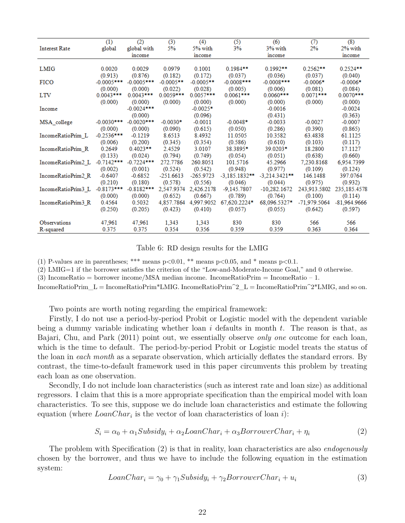| <b>Interest Rate</b> | (1)<br>global | (2)<br>global with<br>income | (3)<br>5%   | (4)<br>5% with<br>income | (5)<br>3%       | (6)<br>3% with<br>income | (7)<br>2%      | (8)<br>2% with<br>income |
|----------------------|---------------|------------------------------|-------------|--------------------------|-----------------|--------------------------|----------------|--------------------------|
| <b>LMIG</b>          | 0.0020        | 0.0029                       | 0.0979      | 0.1001                   | $0.1984**$      | $0.1992**$               | $0.2562**$     | $0.2524**$               |
| <b>FICO</b>          | (0.913)       | (0.876)                      | (0.182)     | (0.172)                  | (0.037)         | (0.036)                  | (0.037)        | (0.040)                  |
|                      | $-0.0005***$  | $-0.0005***$                 | $-0.0005**$ | $-0.0005**$              | $-0.0008***$    | $-0.0008***$             | $-0.0006*$     | $-0.0006*$               |
| <b>LTV</b>           | (0.000)       | (0.000)                      | (0.022)     | (0.028)                  | (0.005)         | (0.006)                  | (0.081)        | (0.084)                  |
|                      | $0.0043***$   | $0.0043***$                  | 0.0059***   | 0.0057***                | $0.0061***$     | $0.0060***$              | $0.0071***$    | $0.0070***$              |
| Income               | (0.000)       | (0.000)<br>$-0.0024***$      | (0.000)     | (0.000)<br>$-0.0025*$    | (0.000)         | (0.000)<br>$-0.0016$     | (0.000)        | (0.000)<br>$-0.0024$     |
| MSA college          | $-0.0030***$  | (0.000)<br>$-0.0020***$      | $-0.0030*$  | (0.096)<br>$-0.0011$     | $-0.0048*$      | (0.431)<br>$-0.0033$     | $-0.0027$      | (0.363)<br>$-0.0007$     |
| IncomeRatioPrim L    | (0.000)       | (0.000)                      | (0.090)     | (0.615)                  | (0.050)         | (0.286)                  | (0.390)        | (0.865)                  |
|                      | $-0.2536***$  | $-0.1219$                    | 8.6513      | 8.4932                   | 11.0505         | 10.3582                  | 63.4838        | 61.1125                  |
| IncomeRatioPrim R    | (0.006)       | (0.200)                      | (0.345)     | (0.354)                  | (0.586)         | (0.610)                  | (0.103)        | (0.117)                  |
|                      | 0.2649        | $0.4023**$                   | 2.4529      | 3.0107                   | 38.3895*        | 39.0203*                 | 18.2800        | 17.1127                  |
| IncomeRatioPrim2 L   | (0.133)       | (0.024)                      | (0.794)     | (0.749)                  | (0.054)         | (0.051)                  | (0.638)        | (0.660)                  |
|                      | $-0.7142***$  | $-0.7224***$                 | 272.7786    | 260.8051                 | 101.5716        | 45.2966                  | 7.230.8168     | 6.954.7399               |
| IncomeRatioPrim2 R   | (0.002)       | (0.001)                      | (0.524)     | (0.542)                  | (0.948)         | (0.977)                  | (0.109)        | (0.124)                  |
|                      | $-0.6407$     | $-0.6852$                    | $-251.6613$ | $-265.9723$              | $-3.185.1832**$ | $-3.214.3421***$         | 146.1488       | 397.0764                 |
| IncomeRatioPrim3 L   | (0.210)       | (0.180)                      | (0.578)     | (0.556)                  | (0.046)         | (0.044)                  | (0.975)        | (0.932)                  |
|                      | $-0.8173***$  | $-0.8182***$                 | 2,547.9374  | 2,426.2178               | $-9.145.7807$   | $-10.282.1672$           | 243.913.5802   | 235,185.4578             |
| IncomeRatioPrim3 R   | (0.000)       | (0.000)                      | (0.652)     | (0.667)                  | (0.789)         | (0.764)                  | (0.100)        | (0.114)                  |
|                      | 0.4564        | 0.5032                       | 4,857.7864  | 4.997.9052               | 67.620.2224*    | 68.096.5327*             | $-71.979.5064$ | $-81.964.9666$           |
|                      | (0.250)       | (0.205)                      | (0.423)     | (0.410)                  | (0.057)         | (0.055)                  | (0.642)        | (0.597)                  |
| <b>Observations</b>  | 47,961        | 47,961                       | 1,343       | 1,343                    | 830             | 830                      | 566            | 566                      |
| R-squared            | 0.375         | 0.375                        | 0.354       | 0.356                    | 0.359           | 0.359                    | 0.363          | 0.364                    |

Table 6: RD design results for the LMIG

(1) P-values are in parentheses; \*\*\* means  $p<0.01$ , \*\* means  $p<0.05$ , and \* means  $p<0.1$ .

(2) LMIG=1 if the borrower satisfies the criterion of the "Low-and-Moderate-Income Goal," and 0 otherwise.

(3) IncomeRatio = borrower income/MSA median income. IncomeRatioPrim = IncomeRatio – 1.

IncomeRatioPrim\_L = IncomeRatioPrim\*LMIG. IncomeRatioPrim<sup> $2$ </sup>\_L = IncomeRatioPrim<sup> $2*$ LMIG, and so on.</sup>

Two points are worth noting regarding the empirical framework:

Firstly, I do not use a period-by-period Probit or Logistic model with the dependent variable being a dummy variable indicating whether loan *i* defaults in month *t*. The reason is that, as Bajari, Chu, and Park (2011) point out, we essentially observe *only one* outcome for each loan, which is the time to default. The period-by-period Probit or Logistic model treats the status of the loan in *each month* as a separate observation, which articially deflates the standard errors. By contrast, the time-to-default framework used in this paper circumvents this problem by treating each loan as one observation.

Secondly, I do not include loan characteristics (such as interest rate and loan size) as additional regressors. I claim that this is a more appropriate specification than the empirical model with loan characteristics. To see this, suppose we do include loan characteristics and estimate the following equation (where *LoanChar<sup>i</sup>* is the vector of loan characteristics of loan *i*):

$$
S_i = \alpha_0 + \alpha_1 \text{Subsidy}_i + \alpha_2 \text{LoanChar}_i + \alpha_3 \text{BorrowerChar}_i + \eta_i \tag{2}
$$

The problem with Specification (2) is that in reality, loan characteristics are also *endogenously* chosen by the borrower, and thus we have to include the following equation in the estimation system:

$$
LoanChar_i = \gamma_0 + \gamma_1 Subsidy_i + \gamma_2 BorrowerChar_i + u_i \tag{3}
$$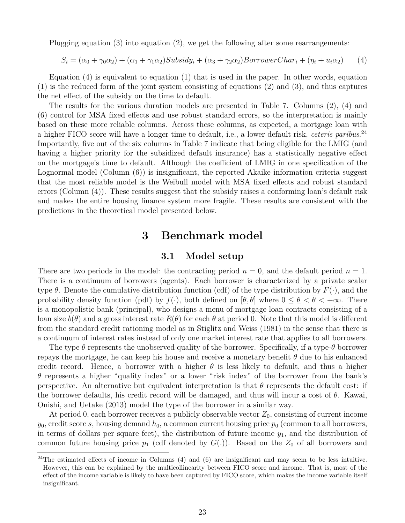Plugging equation (3) into equation (2), we get the following after some rearrangements:

$$
S_i = (\alpha_0 + \gamma_0 \alpha_2) + (\alpha_1 + \gamma_1 \alpha_2) \text{Subsidy}_i + (\alpha_3 + \gamma_2 \alpha_2) \text{Borrower} Char_i + (\eta_i + u_i \alpha_2) \tag{4}
$$

Equation (4) is equivalent to equation (1) that is used in the paper. In other words, equation (1) is the reduced form of the joint system consisting of equations (2) and (3), and thus captures the net effect of the subsidy on the time to default.

The results for the various duration models are presented in Table 7. Columns (2), (4) and (6) control for MSA fixed effects and use robust standard errors, so the interpretation is mainly based on these more reliable columns. Across these columns, as expected, a mortgage loan with a higher FICO score will have a longer time to default, i.e., a lower default risk, *ceteris paribus*. 24 Importantly, five out of the six columns in Table 7 indicate that being eligible for the LMIG (and having a higher priority for the subsidized default insurance) has a statistically negative effect on the mortgage's time to default. Although the coefficient of LMIG in one specification of the Lognormal model (Column (6)) is insignificant, the reported Akaike information criteria suggest that the most reliable model is the Weibull model with MSA fixed effects and robust standard errors (Column (4)). These results suggest that the subsidy raises a conforming loan's default risk and makes the entire housing finance system more fragile. These results are consistent with the predictions in the theoretical model presented below.

## **3 Benchmark model**

## **3.1 Model setup**

There are two periods in the model: the contracting period  $n = 0$ , and the default period  $n = 1$ . There is a continuum of borrowers (agents). Each borrower is characterized by a private scalar type  $\theta$ . Denote the cumulative distribution function (cdf) of the type distribution by  $F(\cdot)$ , and the probability density function (pdf) by  $f(\cdot)$ , both defined on  $[\underline{\theta}, \overline{\theta}]$  where  $0 \le \underline{\theta} < \overline{\theta} < +\infty$ . There is a monopolistic bank (principal), who designs a menu of mortgage loan contracts consisting of a loan size  $b(\theta)$  and a gross interest rate  $R(\theta)$  for each  $\theta$  at period 0. Note that this model is different from the standard credit rationing model as in Stiglitz and Weiss (1981) in the sense that there is a continuum of interest rates instead of only one market interest rate that applies to all borrowers.

The type *θ* represents the unobserved quality of the borrower. Specifically, if a type-*θ* borrower repays the mortgage, he can keep his house and receive a monetary benefit *θ* due to his enhanced credit record. Hence, a borrower with a higher  $\theta$  is less likely to default, and thus a higher *θ* represents a higher "quality index" or a lower "risk index" of the borrower from the bank's perspective. An alternative but equivalent interpretation is that *θ* represents the default cost: if the borrower defaults, his credit record will be damaged, and thus will incur a cost of *θ*. Kawai, Onishi, and Uetake (2013) model the type of the borrower in a similar way.

At period 0, each borrower receives a publicly observable vector  $Z_0$ , consisting of current income  $y_0$ , credit score *s*, housing demand  $h_0$ , a common current housing price  $p_0$  (common to all borrowers, in terms of dollars per square feet), the distribution of future income *y*1, and the distribution of common future housing price  $p_1$  (cdf denoted by  $G(.)$ ). Based on the  $Z_0$  of all borrowers and

<sup>&</sup>lt;sup>24</sup>The estimated effects of income in Columns  $(4)$  and  $(6)$  are insignificant and may seem to be less intuitive. However, this can be explained by the multicollinearity between FICO score and income. That is, most of the effect of the income variable is likely to have been captured by FICO score, which makes the income variable itself insignificant.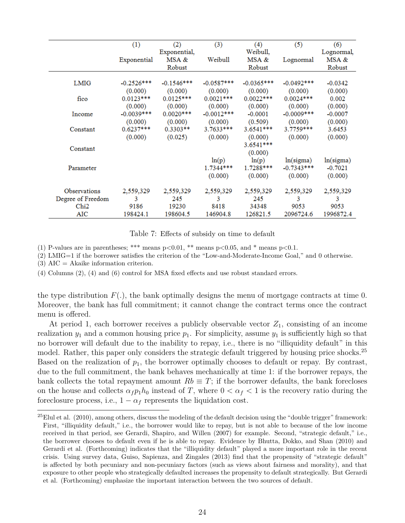|                   | (1)          | (2)          | (3)          | (4)          | (5)           | (6)        |
|-------------------|--------------|--------------|--------------|--------------|---------------|------------|
|                   |              | Exponential, |              | Weibull,     |               | Lognormal, |
|                   | Exponential  | MSA &        | Weibull      | MSA &        | Lognormal     | MSA &      |
|                   |              | Robust       |              | Robust       |               | Robust     |
|                   |              |              |              |              |               |            |
| LMIG              | $-0.2526***$ | $-0.1546***$ | $-0.0587***$ | $-0.0365***$ | $-0.0492***$  | $-0.0342$  |
|                   | (0.000)      | (0.000)      | (0.000)      | (0.000)      | (0.000)       | (0.000)    |
| fico              | $0.0123***$  | $0.0125***$  | $0.0021***$  | $0.0022***$  | $0.0024***$   | 0.002      |
|                   | (0.000)      | (0.000)      | (0.000)      | (0.000)      | (0.000)       | (0.000)    |
| Income            | $-0.0039***$ | $0.0020***$  | $-0.0012***$ | $-0.0001$    | $-0.0009$ *** | $-0.0007$  |
|                   | (0.000)      | (0.000)      | (0.000)      | (0.509)      | (0.000)       | (0.000)    |
| Constant          | $0.6237***$  | $0.3303**$   | $3.7633***$  | 3.6541***    | 3.7759***     | 3.6453     |
|                   | (0.000)      | (0.025)      | (0.000)      | (0.000)      | (0.000)       | (0.000)    |
|                   |              |              |              | $3.6541***$  |               |            |
| Constant          |              |              |              | (0.000)      |               |            |
|                   |              |              | ln(p)        | ln(p)        | ln(sigma)     | ln(sigma)  |
| Parameter         |              |              | 1.7344***    | 1.7288***    | $-0.7343***$  | $-0.7021$  |
|                   |              |              | (0.000)      | (0.000)      | (0.000)       | (0.000)    |
|                   |              |              |              |              |               |            |
| Observations      | 2,559,329    | 2,559,329    | 2,559,329    | 2,559,329    | 2,559,329     | 2,559,329  |
| Degree of Freedom | 3            | 245          | 3            | 245          | 3             | 3          |
| Chi <sub>2</sub>  | 9186         | 19230        | 8418         | 34348        | 9053          | 9053       |
| AIC               | 198424.1     | 198604.5     | 146904.8     | 126821.5     | 2096724.6     | 1996872.4  |

Table 7: Effects of subsidy on time to default

(1) P-values are in parentheses; \*\*\* means  $p<0.01$ , \*\* means  $p<0.05$ , and \* means  $p<0.1$ .

(2) LMIG=1 if the borrower satisfies the criterion of the "Low-and-Moderate-Income Goal," and 0 otherwise.

 $(3)$  AIC = Akaike information criterion.

(4) Columns (2), (4) and (6) control for MSA fixed effects and use robust standard errors.

the type distribution  $F(.)$ , the bank optimally designs the menu of mortgage contracts at time 0. Moreover, the bank has full commitment; it cannot change the contract terms once the contract menu is offered.

At period 1, each borrower receives a publicly observable vector  $Z_1$ , consisting of an income realization  $y_1$  and a common housing price  $p_1$ . For simplicity, assume  $y_1$  is sufficiently high so that no borrower will default due to the inability to repay, i.e., there is no "illiquidity default" in this model. Rather, this paper only considers the strategic default triggered by housing price shocks.<sup>25</sup> Based on the realization of  $p_1$ , the borrower optimally chooses to default or repay. By contrast, due to the full commitment, the bank behaves mechanically at time 1: if the borrower repays, the bank collects the total repayment amount  $Rb \equiv T$ ; if the borrower defaults, the bank forecloses on the house and collects  $\alpha_f p_1 h_0$  instead of *T*, where  $0 < \alpha_f < 1$  is the recovery ratio during the foreclosure process, i.e.,  $1 - \alpha_f$  represents the liquidation cost.

 $^{25}$ Elul et al. (2010), among others, discuss the modeling of the default decision using the "double trigger" framework: First, "illiquidity default," i.e., the borrower would like to repay, but is not able to because of the low income received in that period, see Gerardi, Shapiro, and Willen (2007) for example. Second, "strategic default," i.e., the borrower chooses to default even if he is able to repay. Evidence by Bhutta, Dokko, and Shan (2010) and Gerardi et al. (Forthcoming) indicates that the "illiquidity default" played a more important role in the recent crisis. Using survey data, Guiso, Sapienza, and Zingales (2013) find that the propensity of "strategic default" is affected by both pecuniary and non-pecuniary factors (such as views about fairness and morality), and that exposure to other people who strategically defaulted increases the propensity to default strategically. But Gerardi et al. (Forthcoming) emphasize the important interaction between the two sources of default.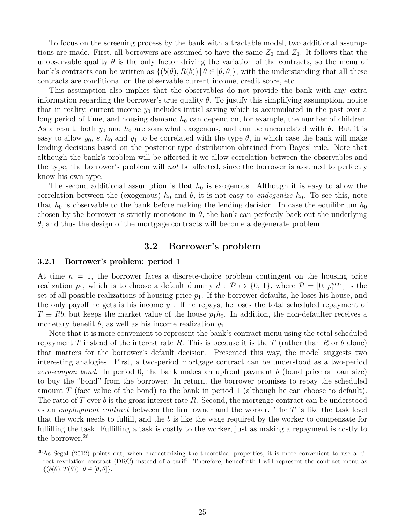To focus on the screening process by the bank with a tractable model, two additional assumptions are made. First, all borrowers are assumed to have the same  $Z_0$  and  $Z_1$ . It follows that the unobservable quality  $\theta$  is the only factor driving the variation of the contracts, so the menu of bank's contracts can be written as  $\{(b(\theta), R(b)) | \theta \in [\underline{\theta}, \overline{\theta}]\}$ , with the understanding that all these contracts are conditional on the observable current income, credit score, etc.

This assumption also implies that the observables do not provide the bank with any extra information regarding the borrower's true quality  $\theta$ . To justify this simplifying assumption, notice that in reality, current income *y*<sup>0</sup> includes initial saving which is accumulated in the past over a long period of time, and housing demand  $h_0$  can depend on, for example, the number of children. As a result, both  $y_0$  and  $h_0$  are somewhat exogenous, and can be uncorrelated with  $\theta$ . But it is easy to allow  $y_0$ , *s*,  $h_0$  and  $y_1$  to be correlated with the type  $\theta$ , in which case the bank will make lending decisions based on the posterior type distribution obtained from Bayes' rule. Note that although the bank's problem will be affected if we allow correlation between the observables and the type, the borrower's problem will *not* be affected, since the borrower is assumed to perfectly know his own type.

The second additional assumption is that  $h_0$  is exogenous. Although it is easy to allow the correlation between the (exogenous)  $h_0$  and  $\theta$ , it is not easy to *endogenize*  $h_0$ . To see this, note that  $h_0$  is observable to the bank before making the lending decision. In case the equilibrium  $h_0$ chosen by the borrower is strictly monotone in  $\theta$ , the bank can perfectly back out the underlying *θ*, and thus the design of the mortgage contracts will become a degenerate problem.

## **3.2 Borrower's problem**

#### **3.2.1 Borrower's problem: period 1**

At time  $n = 1$ , the borrower faces a discrete-choice problem contingent on the housing price realization  $p_1$ , which is to choose a default dummy  $d: \mathcal{P} \mapsto \{0, 1\}$ , where  $\mathcal{P} = [0, p_1^{max}]$  is the set of all possible realizations of housing price  $p_1$ . If the borrower defaults, he loses his house, and the only payoff he gets is his income  $y_1$ . If he repays, he loses the total scheduled repayment of  $T \equiv Rb$ , but keeps the market value of the house  $p_1h_0$ . In addition, the non-defaulter receives a monetary benefit  $\theta$ , as well as his income realization  $y_1$ .

Note that it is more convenient to represent the bank's contract menu using the total scheduled repayment *T* instead of the interest rate *R*. This is because it is the *T* (rather than *R* or *b* alone) that matters for the borrower's default decision. Presented this way, the model suggests two interesting analogies. First, a two-period mortgage contract can be understood as a two-period *zero-coupon bond*. In period 0, the bank makes an upfront payment *b* (bond price or loan size) to buy the "bond" from the borrower. In return, the borrower promises to repay the scheduled amount *T* (face value of the bond) to the bank in period 1 (although he can choose to default). The ratio of *T* over *b* is the gross interest rate *R*. Second, the mortgage contract can be understood as an *employment contract* between the firm owner and the worker. The *T* is like the task level that the work needs to fulfill, and the *b* is like the wage required by the worker to compensate for fulfilling the task. Fulfilling a task is costly to the worker, just as making a repayment is costly to the borrower.<sup>26</sup>

 $^{26}$ As Segal (2012) points out, when characterizing the theoretical properties, it is more convenient to use a direct revelation contract (DRC) instead of a tariff. Therefore, henceforth I will represent the contract menu as  $\{(b(\theta), T(\theta)) | \theta \in [\underline{\theta}, \overline{\theta}]\}.$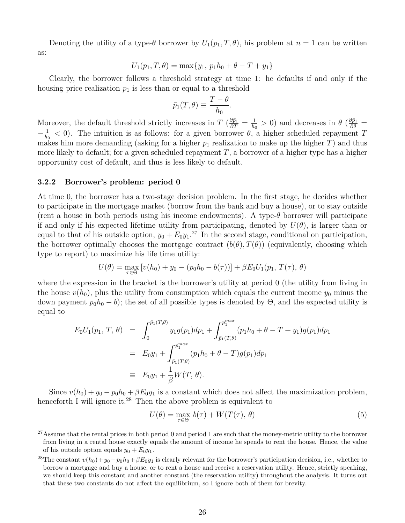Denoting the utility of a type- $\theta$  borrower by  $U_1(p_1, T, \theta)$ , his problem at  $n = 1$  can be written as:

$$
U_1(p_1, T, \theta) = \max\{y_1, p_1h_0 + \theta - T + y_1\}
$$

Clearly, the borrower follows a threshold strategy at time 1: he defaults if and only if the housing price realization  $p_1$  is less than or equal to a threshold

$$
\bar{p}_1(T,\theta) \equiv \frac{T-\theta}{h_0}.
$$

Moreover, the default threshold strictly increases in  $T \left( \frac{\partial \bar{p}_1}{\partial T} = \frac{1}{h_0} \right)$  $\frac{1}{h_0}$  > 0) and decreases in  $\theta$  ( $\frac{\partial \bar{p}_1}{\partial \theta}$  =  $-\frac{1}{h}$  $\frac{1}{h_0}$  < 0). The intuition is as follows: for a given borrower *θ*, a higher scheduled repayment *T* makes him more demanding (asking for a higher  $p_1$  realization to make up the higher *T*) and thus more likely to default; for a given scheduled repayment  $T$ , a borrower of a higher type has a higher opportunity cost of default, and thus is less likely to default.

#### **3.2.2 Borrower's problem: period 0**

At time 0, the borrower has a two-stage decision problem. In the first stage, he decides whether to participate in the mortgage market (borrow from the bank and buy a house), or to stay outside (rent a house in both periods using his income endowments). A type-*θ* borrower will participate if and only if his expected lifetime utility from participating, denoted by  $U(\theta)$ , is larger than or equal to that of his outside option,  $y_0 + E_0 y_1$ <sup>27</sup> In the second stage, conditional on participation, the borrower optimally chooses the mortgage contract  $(b(\theta), T(\theta))$  (equivalently, choosing which type to report) to maximize his life time utility:

$$
U(\theta) = \max_{\tau \in \Theta} \left[ v(h_0) + y_0 - (p_0 h_0 - b(\tau)) \right] + \beta E_0 U_1(p_1, T(\tau), \theta)
$$

where the expression in the bracket is the borrower's utility at period 0 (the utility from living in the house  $v(h_0)$ , plus the utility from consumption which equals the current income  $y_0$  minus the down payment  $p_0h_0 - b$ ; the set of all possible types is denoted by  $\Theta$ , and the expected utility is equal to

$$
E_0 U_1(p_1, T, \theta) = \int_0^{\bar{p}_1(T, \theta)} y_1 g(p_1) dp_1 + \int_{\bar{p}_1(T, \theta)}^{p_1^{max}} (p_1 h_0 + \theta - T + y_1) g(p_1) dp_1
$$
  
=  $E_0 y_1 + \int_{\bar{p}_1(T, \theta)}^{p_1^{max}} (p_1 h_0 + \theta - T) g(p_1) dp_1$   
\equiv  $E_0 y_1 + \frac{1}{\beta} W(T, \theta).$ 

Since  $v(h_0) + y_0 - p_0h_0 + \beta E_0y_1$  is a constant which does not affect the maximization problem, henceforth I will ignore it.<sup>28</sup> Then the above problem is equivalent to

$$
U(\theta) = \max_{\tau \in \Theta} b(\tau) + W(T(\tau), \theta)
$$
\n(5)

 $27$ Assume that the rental prices in both period 0 and period 1 are such that the money-metric utility to the borrower from living in a rental house exactly equals the amount of income he spends to rent the house. Hence, the value of his outside option equals  $y_0 + E_0 y_1$ .

<sup>&</sup>lt;sup>28</sup>The constant  $v(h_0)+y_0-p_0h_0+\beta E_0y_1$  is clearly relevant for the borrower's participation decision, i.e., whether to borrow a mortgage and buy a house, or to rent a house and receive a reservation utility. Hence, strictly speaking, we should keep this constant and another constant (the reservation utility) throughout the analysis. It turns out that these two constants do not affect the equilibrium, so I ignore both of them for brevity.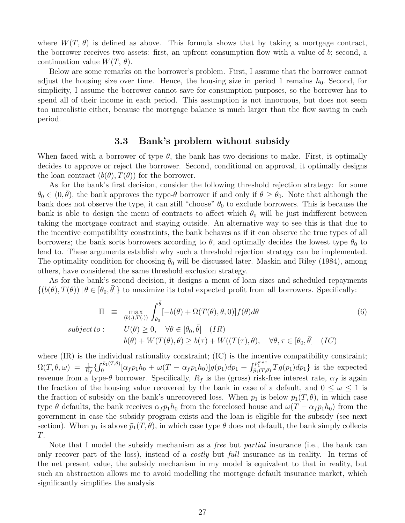where  $W(T, \theta)$  is defined as above. This formula shows that by taking a mortgage contract, the borrower receives two assets: first, an upfront consumption flow with a value of *b*; second, a continuation value  $W(T, \theta)$ .

Below are some remarks on the borrower's problem. First, I assume that the borrower cannot adjust the housing size over time. Hence, the housing size in period 1 remains  $h_0$ . Second, for simplicity, I assume the borrower cannot save for consumption purposes, so the borrower has to spend all of their income in each period. This assumption is not innocuous, but does not seem too unrealistic either, because the mortgage balance is much larger than the flow saving in each period.

## **3.3 Bank's problem without subsidy**

When faced with a borrower of type  $\theta$ , the bank has two decisions to make. First, it optimally decides to approve or reject the borrower. Second, conditional on approval, it optimally designs the loan contract  $(b(\theta), T(\theta))$  for the borrower.

As for the bank's first decision, consider the following threshold rejection strategy: for some  $\theta_0 \in (0, \bar{\theta})$ , the bank approves the type- $\theta$  borrower if and only if  $\theta \ge \theta_0$ . Note that although the bank does not observe the type, it can still "choose"  $\theta_0$  to exclude borrowers. This is because the bank is able to design the menu of contracts to affect which  $\theta_0$  will be just indifferent between taking the mortgage contract and staying outside. An alternative way to see this is that due to the incentive compatibility constraints, the bank behaves as if it can observe the true types of all borrowers; the bank sorts borrowers according to  $\theta$ , and optimally decides the lowest type  $\theta_0$  to lend to. These arguments establish why such a threshold rejection strategy can be implemented. The optimality condition for choosing  $\theta_0$  will be discussed later. Maskin and Riley (1984), among others, have considered the same threshold exclusion strategy.

As for the bank's second decision, it designs a menu of loan sizes and scheduled repayments  $\{(b(\theta), T(\theta)) \mid \theta \in [\theta_0, \bar{\theta}] \}$  to maximize its total expected profit from all borrowers. Specifically:

$$
\Pi \equiv \max_{(b(.),T(.))} \int_{\theta_0}^{\bar{\theta}} [-b(\theta) + \Omega(T(\theta), \theta, 0)] f(\theta) d\theta
$$
\n*subject to*:  
\n
$$
U(\theta) \ge 0, \quad \forall \theta \in [\theta_0, \bar{\theta}] \quad (IR)
$$
\n
$$
b(\theta) + W(T(\theta), \theta) \ge b(\tau) + W((T(\tau), \theta), \quad \forall \theta, \tau \in [\theta_0, \bar{\theta}] \quad (IC)
$$
\n(6)

where  $(IR)$  is the individual rationality constraint;  $(IC)$  is the incentive compatibility constraint;  $\Omega(T,\theta,\omega) \;=\; \frac{1}{R_f} \{ \int_0^{\bar{p}_1(T,\theta)} [\alpha_f p_1 h_0 \,+\, \omega(T-\alpha_f p_1 h_0)] g(p_1) dp_1 \,+\, \int_{\bar{p}_1(T,\theta)}^{p_1^{max}} T g(p_1) dp_1 \} \;\; \text{is the expected}$ revenue from a type-*θ* borrower. Specifically,  $R_f$  is the (gross) risk-free interest rate,  $α_f$  is again the fraction of the housing value recovered by the bank in case of a default, and  $0 \leq \omega \leq 1$  is the fraction of subsidy on the bank's unrecovered loss. When  $p_1$  is below  $\bar{p}_1(T, \theta)$ , in which case type  $\theta$  defaults, the bank receives  $\alpha_f p_1 h_0$  from the foreclosed house and  $\omega(T - \alpha_f p_1 h_0)$  from the government in case the subsidy program exists and the loan is eligible for the subsidy (see next section). When  $p_1$  is above  $\bar{p}_1(T, \theta)$ , in which case type  $\theta$  does not default, the bank simply collects *T*.

Note that I model the subsidy mechanism as a *free* but *partial* insurance (i.e., the bank can only recover part of the loss), instead of a *costly* but *full* insurance as in reality. In terms of the net present value, the subsidy mechanism in my model is equivalent to that in reality, but such an abstraction allows me to avoid modelling the mortgage default insurance market, which significantly simplifies the analysis.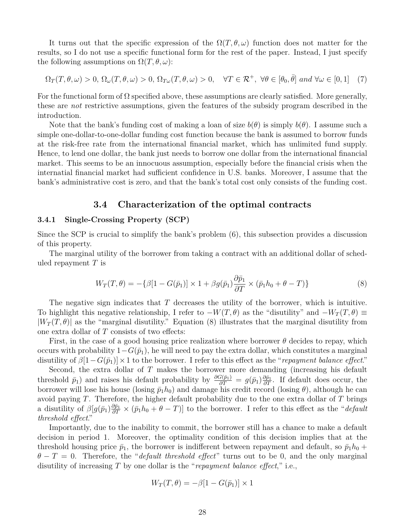It turns out that the specific expression of the  $\Omega(T,\theta,\omega)$  function does not matter for the results, so I do not use a specific functional form for the rest of the paper. Instead, I just specify the following assumptions on  $\Omega(T, \theta, \omega)$ :

$$
\Omega_T(T,\theta,\omega) > 0, \ \Omega_{\omega}(T,\theta,\omega) > 0, \ \Omega_{T\omega}(T,\theta,\omega) > 0, \quad \forall T \in \mathcal{R}^+, \ \forall \theta \in [\theta_0, \bar{\theta}] \ and \ \forall \omega \in [0,1] \tag{7}
$$

For the functional form of  $\Omega$  specified above, these assumptions are clearly satisfied. More generally, these are *not* restrictive assumptions, given the features of the subsidy program described in the introduction.

Note that the bank's funding cost of making a loan of size  $b(\theta)$  is simply  $b(\theta)$ . I assume such a simple one-dollar-to-one-dollar funding cost function because the bank is assumed to borrow funds at the risk-free rate from the international financial market, which has unlimited fund supply. Hence, to lend one dollar, the bank just needs to borrow one dollar from the international financial market. This seems to be an innocuous assumption, especially before the financial crisis when the internatial financial market had sufficient confidence in U.S. banks. Moreover, I assume that the bank's administrative cost is zero, and that the bank's total cost only consists of the funding cost.

## **3.4 Characterization of the optimal contracts**

### **3.4.1 Single-Crossing Property (SCP)**

Since the SCP is crucial to simplify the bank's problem (6), this subsection provides a discussion of this property.

The marginal utility of the borrower from taking a contract with an additional dollar of scheduled repayment *T* is

$$
W_T(T,\theta) = -\{\beta[1 - G(\bar{p}_1)] \times 1 + \beta g(\bar{p}_1) \frac{\partial \bar{p}_1}{\partial T} \times (\bar{p}_1 h_0 + \theta - T)\}\tag{8}
$$

The negative sign indicates that *T* decreases the utility of the borrower, which is intuitive. To highlight this negative relationship, I refer to  $-W(T, \theta)$  as the "disutility" and  $-W_T(T, \theta) \equiv$  $|W_T(T, \theta)|$  as the "marginal disutility." Equation (8) illustrates that the marginal disutility from one extra dollar of *T* consists of two effects:

First, in the case of a good housing price realization where borrower  $\theta$  decides to repay, which occurs with probability  $1-G(\bar{p}_1)$ , he will need to pay the extra dollar, which constitutes a marginal disutility of  $\beta[1-G(\bar{p}_1)] \times 1$  to the borrower. I refer to this effect as the "*repayment balance effect*."

Second, the extra dollar of *T* makes the borrower more demanding (increasing his default threshold  $\bar{p}_1$ ) and raises his default probability by  $\frac{\partial G(\bar{p}_1)}{\partial T} = g(\bar{p}_1)\frac{\partial \bar{p}_1}{\partial T}$ . If default does occur, the borrower will lose his house (losing  $\bar{p}_1 h_0$ ) and damage his credit record (losing  $\theta$ ), although he can avoid paying *T*. Therefore, the higher default probability due to the one extra dollar of *T* brings a disutility of  $\beta[g(\bar{p}_1)\frac{\partial \bar{p}_1}{\partial T} \times (\bar{p}_1h_0 + \theta - T)]$  to the borrower. I refer to this effect as the "*default threshold effect*."

Importantly, due to the inability to commit, the borrower still has a chance to make a default decision in period 1. Moreover, the optimality condition of this decision implies that at the threshold housing price  $\bar{p}_1$ , the borrower is indifferent between repayment and default, so  $\bar{p}_1 h_0$  +  $\theta - T = 0$ . Therefore, the "*default threshold effect*" turns out to be 0, and the only marginal disutility of increasing *T* by one dollar is the "*repayment balance effect*," i.e.,

$$
W_T(T, \theta) = -\beta[1 - G(\bar{p}_1)] \times 1
$$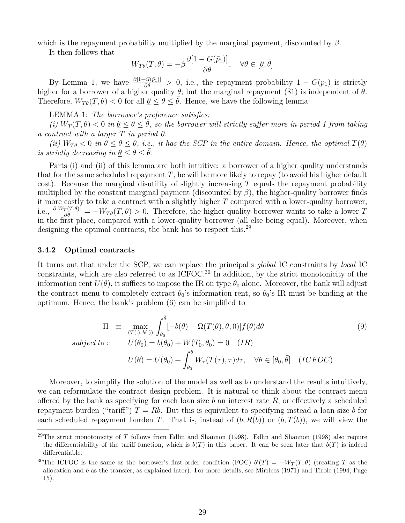which is the repayment probability multiplied by the marginal payment, discounted by *β*.

It then follows that

$$
W_{T\theta}(T,\theta) = -\beta \frac{\partial [1 - G(\bar{p}_1)]}{\partial \theta}, \quad \forall \theta \in [\underline{\theta}, \bar{\theta}]
$$

By Lemma 1, we have  $\frac{\partial [1-G(\bar{p}_1)]}{\partial \theta} > 0$ , i.e., the repayment probability  $1 - G(\bar{p}_1)$  is strictly higher for a borrower of a higher quality  $\theta$ ; but the marginal repayment (\$1) is independent of  $\theta$ . Therefore,  $W_{T\theta}(T,\theta) < 0$  for all  $\theta \leq \theta \leq \theta$ . Hence, we have the following lemma:

LEMMA 1: *The borrower's preference satisfies:*

 $(i)$   $W_T(T, \theta) < 0$  *in*  $\theta \leq \theta \leq \theta$ *, so the borrower will strictly suffer more in period 1 from taking a contract with a larger T in period 0.*

*(ii)*  $W_{T\theta} < 0$  *in*  $\underline{\theta} \leq \theta \leq \overline{\theta}$ *, i.e., it has the SCP in the entire domain. Hence, the optimal*  $T(\theta)$ *is strictly decreasing in*  $\theta \leq \theta \leq \bar{\theta}$ .

Parts (i) and (ii) of this lemma are both intuitive: a borrower of a higher quality understands that for the same scheduled repayment *T*, he will be more likely to repay (to avoid his higher default cost). Because the marginal disutility of slightly increasing *T* equals the repayment probability multiplied by the constant marginal payment (discounted by  $\beta$ ), the higher-quality borrower finds it more costly to take a contract with a slightly higher *T* compared with a lower-quality borrower, i.e.,  $\frac{\partial |W_T(T,\theta)|}{\partial \theta} = -W_{T\theta}(T,\theta) > 0$ . Therefore, the higher-quality borrower wants to take a lower *T* in the first place, compared with a lower-quality borrower (all else being equal). Moreover, when designing the optimal contracts, the bank has to respect this.<sup>29</sup>

#### **3.4.2 Optimal contracts**

It turns out that under the SCP, we can replace the principal's *global* IC constraints by *local* IC constraints, which are also referred to as ICFOC.<sup>30</sup> In addition, by the strict monotonicity of the information rent  $U(\theta)$ , it suffices to impose the IR on type  $\theta_0$  alone. Moreover, the bank will adjust the contract menu to completely extract  $\theta_0$ 's information rent, so  $\theta_0$ 's IR must be binding at the optimum. Hence, the bank's problem (6) can be simplified to

$$
\Pi = \max_{(T(.), b(.))} \int_{\theta_0}^{\bar{\theta}} [-b(\theta) + \Omega(T(\theta), \theta, 0)] f(\theta) d\theta
$$
  
\nsubject to:  $U(\theta_0) = b(\theta_0) + W(T_0, \theta_0) = 0$  (IR)  
\n
$$
U(\theta) = U(\theta_0) + \int_{\theta_0}^{\theta} W_{\tau}(T(\tau), \tau) d\tau, \quad \forall \theta \in [\theta_0, \bar{\theta}]
$$
 (ICFOC)

Moreover, to simplify the solution of the model as well as to understand the results intuitively, we can reformulate the contract design problem. It is natural to think about the contract menu offered by the bank as specifying for each loan size *b* an interest rate *R*, or effectively a scheduled repayment burden ("tariff")  $T = Rb$ . But this is equivalent to specifying instead a loan size b for each scheduled repayment burden *T*. That is, instead of  $(b, R(b))$  or  $(b, T(b))$ , we will view the

<sup>29</sup>The strict monotonicity of *T* follows from Edlin and Shannon (1998). Edlin and Shannon (1998) also require the differentiability of the tariff function, which is  $b(T)$  in this paper. It can be seen later that  $b(T)$  is indeed differentiable.

<sup>&</sup>lt;sup>30</sup>The ICFOC is the same as the borrower's first-order condition (FOC)  $b'(T) = -W_T(T, \theta)$  (treating *T* as the allocation and *b* as the transfer, as explained later). For more details, see Mirrlees (1971) and Tirole (1994, Page 15).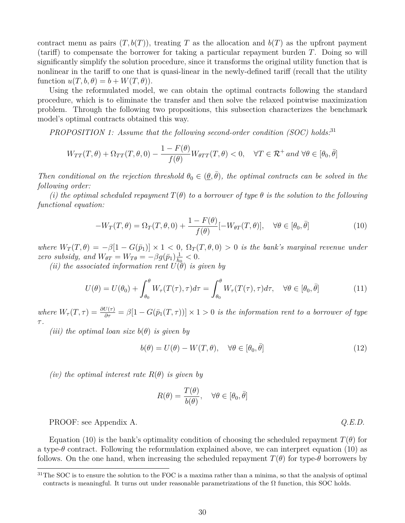contract menu as pairs  $(T, b(T))$ , treating *T* as the allocation and  $b(T)$  as the upfront payment (tariff) to compensate the borrower for taking a particular repayment burden *T*. Doing so will significantly simplify the solution procedure, since it transforms the original utility function that is nonlinear in the tariff to one that is quasi-linear in the newly-defined tariff (recall that the utility function  $u(T, b, \theta) = b + W(T, \theta)$ .

Using the reformulated model, we can obtain the optimal contracts following the standard procedure, which is to eliminate the transfer and then solve the relaxed pointwise maximization problem. Through the following two propositions, this subsection characterizes the benchmark model's optimal contracts obtained this way.

*PROPOSITION 1: Assume that the following second-order condition (SOC) holds:*<sup>31</sup>

$$
W_{TT}(T,\theta) + \Omega_{TT}(T,\theta,0) - \frac{1 - F(\theta)}{f(\theta)} W_{\theta TT}(T,\theta) < 0, \quad \forall T \in \mathcal{R}^+ \text{ and } \forall \theta \in [\theta_0, \bar{\theta}]
$$

*Then conditional on the rejection threshold*  $\theta_0 \in (\underline{\theta}, \overline{\theta})$ *, the optimal contracts can be solved in the following order:*

*(i) the optimal scheduled repayment*  $T(\theta)$  *to a borrower of type*  $\theta$  *is the solution to the following functional equation:*

$$
-W_T(T,\theta) = \Omega_T(T,\theta,0) + \frac{1 - F(\theta)}{f(\theta)} [-W_{\theta T}(T,\theta)], \quad \forall \theta \in [\theta_0, \bar{\theta}]
$$
\n(10)

*where*  $W_T(T, \theta) = -\beta[1 - G(\bar{p}_1)] \times 1 < 0$ ,  $\Omega_T(T, \theta, 0) > 0$  *is the bank's marginal revenue under zero subsidy, and*  $W_{\theta T} = W_{T\theta} = -\beta g(\bar{p}_1) \frac{1}{h}$  $\frac{1}{h_0}$  < 0.

*(ii) the associated information rent*  $U(\theta)$  *is given by* 

$$
U(\theta) = U(\theta_0) + \int_{\theta_0}^{\theta} W_{\tau}(T(\tau), \tau) d\tau = \int_{\theta_0}^{\theta} W_{\tau}(T(\tau), \tau) d\tau, \quad \forall \theta \in [\theta_0, \bar{\theta}]
$$
 (11)

*where*  $W_{\tau}(T,\tau) = \frac{\partial U(\tau)}{\partial \tau} = \beta[1 - G(\bar{p}_1(T,\tau))] \times 1 > 0$  *is the information rent to a borrower of type τ .*

*(iii)* the optimal loan size  $b(\theta)$  *is given by* 

$$
b(\theta) = U(\theta) - W(T, \theta), \quad \forall \theta \in [\theta_0, \bar{\theta}]
$$
\n(12)

*(iv)* the optimal interest rate  $R(\theta)$  is given by

$$
R(\theta) = \frac{T(\theta)}{b(\theta)}, \quad \forall \theta \in [\theta_0, \bar{\theta}]
$$

PROOF: see Appendix A. *Q.E.D.*

Equation (10) is the bank's optimality condition of choosing the scheduled repayment  $T(\theta)$  for a type-*θ* contract. Following the reformulation explained above, we can interpret equation (10) as follows. On the one hand, when increasing the scheduled repayment  $T(\theta)$  for type- $\theta$  borrowers by

 $31$ The SOC is to ensure the solution to the FOC is a maxima rather than a minima, so that the analysis of optimal contracts is meaningful. It turns out under reasonable parametrizations of the  $\Omega$  function, this SOC holds.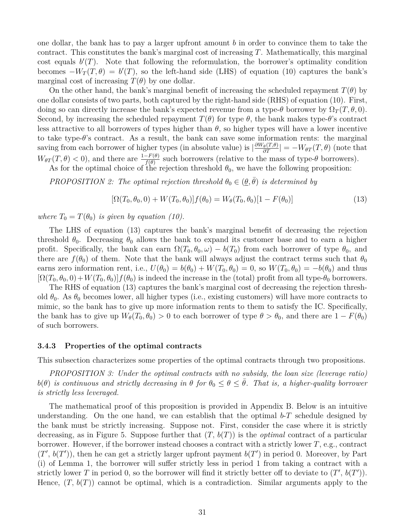one dollar, the bank has to pay a larger upfront amount *b* in order to convince them to take the contract. This constitutes the bank's marginal cost of increasing *T*. Mathematically, this marginal cost equals  $b(T)$ . Note that following the reformulation, the borrower's optimality condition becomes  $-W_T(T, \theta) = b'(T)$ , so the left-hand side (LHS) of equation (10) captures the bank's marginal cost of increasing  $T(\theta)$  by one dollar.

On the other hand, the bank's marginal benefit of increasing the scheduled repayment  $T(\theta)$  by one dollar consists of two parts, both captured by the right-hand side (RHS) of equation (10). First, doing so can directly increase the bank's expected revenue from a type- $\theta$  borrower by  $\Omega_T(T, \theta, 0)$ . Second, by increasing the scheduled repayment  $T(\theta)$  for type  $\theta$ , the bank makes type- $\theta$ 's contract less attractive to all borrowers of types higher than  $\theta$ , so higher types will have a lower incentive to take type- $\theta$ 's contract. As a result, the bank can save some information rents: the marginal saving from each borrower of higher types (in absolute value) is  $\left|\frac{\partial W_{\theta}(T,\theta)}{\partial T}\right| = -W_{\theta T}(T,\theta)$  (note that  $W_{\theta T}(T,\theta) < 0$ , and there are  $\frac{1-F(\theta)}{f(\theta)}$  such borrowers (relative to the mass of type- $\theta$  borrowers).

As for the optimal choice of the rejection threshold  $\theta_0$ , we have the following proposition:

*PROPOSITION 2: The optimal rejection threshold*  $\theta_0 \in (\underline{\theta}, \overline{\theta})$  *is determined by* 

$$
[\Omega(T_0, \theta_0, 0) + W(T_0, \theta_0)]f(\theta_0) = W_{\theta}(T_0, \theta_0)[1 - F(\theta_0)]
$$
\n(13)

*where*  $T_0 = T(\theta_0)$  *is given by equation (10).* 

The LHS of equation (13) captures the bank's marginal benefit of decreasing the rejection threshold  $\theta_0$ . Decreasing  $\theta_0$  allows the bank to expand its customer base and to earn a higher profit. Specifically, the bank can earn  $\Omega(T_0, \theta_0, \omega) - b(T_0)$  from each borrower of type  $\theta_0$ , and there are  $f(\theta_0)$  of them. Note that the bank will always adjust the contract terms such that  $\theta_0$ earns zero information rent, i.e.,  $U(\theta_0) = b(\theta_0) + W(T_0, \theta_0) = 0$ , so  $W(T_0, \theta_0) = -b(\theta_0)$  and thus  $[\Omega(T_0, \theta_0, 0) + W(T_0, \theta_0)]f(\theta_0)$  is indeed the increase in the (total) profit from all type- $\theta_0$  borrowers.

The RHS of equation (13) captures the bank's marginal cost of decreasing the rejection threshold  $\theta_0$ . As  $\theta_0$  becomes lower, all higher types (i.e., existing customers) will have more contracts to mimic, so the bank has to give up more information rents to them to satisfy the IC. Specifically, the bank has to give up  $W_\theta(T_0, \theta_0) > 0$  to each borrower of type  $\theta > \theta_0$ , and there are  $1 - F(\theta_0)$ of such borrowers.

#### **3.4.3 Properties of the optimal contracts**

This subsection characterizes some properties of the optimal contracts through two propositions.

*PROPOSITION 3: Under the optimal contracts with no subsidy, the loan size (leverage ratio)*  $b(\theta)$  *is continuous and strictly decreasing in*  $\theta$  *for*  $\theta_0 \leq \theta \leq \theta$ *. That is, a higher-quality borrower is strictly less leveraged.*

The mathematical proof of this proposition is provided in Appendix B. Below is an intuitive understanding. On the one hand, we can establish that the optimal  $b$ -*T* schedule designed by the bank must be strictly increasing. Suppose not. First, consider the case where it is strictly decreasing, as in Figure 5. Suppose further that (*T, b*(*T*)) is the *optimal* contract of a particular borrower. However, if the borrower instead chooses a contract with a strictly lower *T*, e.g., contract  $(T', b(T'))$ , then he can get a strictly larger upfront payment  $b(T')$  in period 0. Moreover, by Part (i) of Lemma 1, the borrower will suffer strictly less in period 1 from taking a contract with a strictly lower *T* in period 0, so the borrower will find it strictly better off to deviate to  $(T', b(T'))$ . Hence,  $(T, b(T))$  cannot be optimal, which is a contradiction. Similar arguments apply to the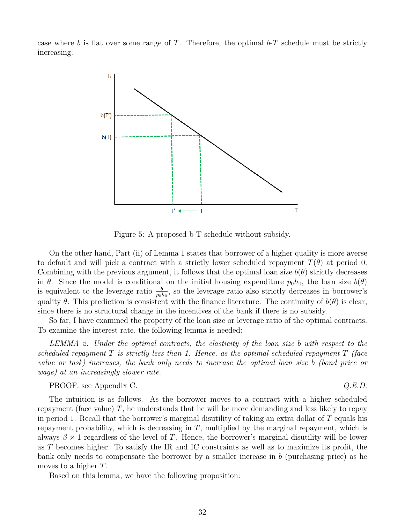case where *b* is flat over some range of *T*. Therefore, the optimal  $b$ -*T* schedule must be strictly increasing.



Figure 5: A proposed b-T schedule without subsidy.

On the other hand, Part (ii) of Lemma 1 states that borrower of a higher quality is more averse to default and will pick a contract with a strictly lower scheduled repayment  $T(\theta)$  at period 0. Combining with the previous argument, it follows that the optimal loan size  $b(\theta)$  strictly decreases in  $\theta$ . Since the model is conditional on the initial housing expenditure  $p_0h_0$ , the loan size  $b(\theta)$ is equivalent to the leverage ratio  $\frac{b}{p_0h_0}$ , so the leverage ratio also strictly decreases in borrower's quality  $\theta$ . This prediction is consistent with the finance literature. The continuity of  $b(\theta)$  is clear, since there is no structural change in the incentives of the bank if there is no subsidy.

So far, I have examined the property of the loan size or leverage ratio of the optimal contracts. To examine the interest rate, the following lemma is needed:

*LEMMA 2: Under the optimal contracts, the elasticity of the loan size b with respect to the scheduled repayment T is strictly less than 1. Hence, as the optimal scheduled repayment T (face value or task) increases, the bank only needs to increase the optimal loan size b (bond price or wage) at an increasingly slower rate.*

PROOF: see Appendix C. *Q.E.D.*

The intuition is as follows. As the borrower moves to a contract with a higher scheduled repayment (face value) *T*, he understands that he will be more demanding and less likely to repay in period 1. Recall that the borrower's marginal disutility of taking an extra dollar of *T* equals his repayment probability, which is decreasing in *T*, multiplied by the marginal repayment, which is always  $\beta \times 1$  regardless of the level of *T*. Hence, the borrower's marginal disutility will be lower as *T* becomes higher. To satisfy the IR and IC constraints as well as to maximize its profit, the bank only needs to compensate the borrower by a smaller increase in *b* (purchasing price) as he moves to a higher *T*.

Based on this lemma, we have the following proposition: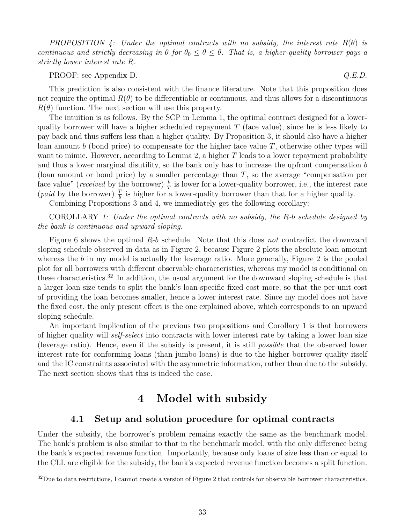*PROPOSITION 4:* Under the optimal contracts with no subsidy, the interest rate  $R(\theta)$  is *continuous and strictly decreasing in*  $\theta$  *for*  $\theta_0 \leq \theta \leq \bar{\theta}$ *. That is, a higher-quality borrower pays a strictly lower interest rate R.*

PROOF: see Appendix D. *Q.E.D.*

This prediction is also consistent with the finance literature. Note that this proposition does not require the optimal  $R(\theta)$  to be differentiable or continuous, and thus allows for a discontinuous  $R(\theta)$  function. The next section will use this property.

The intuition is as follows. By the SCP in Lemma 1, the optimal contract designed for a lowerquality borrower will have a higher scheduled repayment *T* (face value), since he is less likely to pay back and thus suffers less than a higher quality. By Proposition 3, it should also have a higher loan amount *b* (bond price) to compensate for the higher face value *T*, otherwise other types will want to mimic. However, according to Lemma 2, a higher T leads to a lower repayment probability and thus a lower marginal disutility, so the bank only has to increase the upfront compensation *b* (loan amount or bond price) by a smaller percentage than *T*, so the average "compensation per face value" (*received* by the borrower)  $\frac{b}{T}$  is lower for a lower-quality borrower, i.e., the interest rate (*paid* by the borrower)  $\frac{T}{b}$  is higher for a lower-quality borrower than that for a higher quality.

Combining Propositions 3 and 4, we immediately get the following corollary:

COROLLARY *1: Under the optimal contracts with no subsidy, the R-b schedule designed by the bank is continuous and upward sloping.*

Figure 6 shows the optimal *R*-*b* schedule. Note that this does *not* contradict the downward sloping schedule observed in data as in Figure 2, because Figure 2 plots the absolute loan amount whereas the *b* in my model is actually the leverage ratio. More generally, Figure 2 is the pooled plot for all borrowers with different observable characteristics, whereas my model is conditional on these characteristics.<sup>32</sup> In addition, the usual argument for the downward sloping schedule is that a larger loan size tends to split the bank's loan-specific fixed cost more, so that the per-unit cost of providing the loan becomes smaller, hence a lower interest rate. Since my model does not have the fixed cost, the only present effect is the one explained above, which corresponds to an upward sloping schedule.

An important implication of the previous two propositions and Corollary 1 is that borrowers of higher quality will *self-select* into contracts with lower interest rate by taking a lower loan size (leverage ratio). Hence, even if the subsidy is present, it is still *possible* that the observed lower interest rate for conforming loans (than jumbo loans) is due to the higher borrower quality itself and the IC constraints associated with the asymmetric information, rather than due to the subsidy. The next section shows that this is indeed the case.

# **4 Model with subsidy**

## **4.1 Setup and solution procedure for optimal contracts**

Under the subsidy, the borrower's problem remains exactly the same as the benchmark model. The bank's problem is also similar to that in the benchmark model, with the only difference being the bank's expected revenue function. Importantly, because only loans of size less than or equal to the CLL are eligible for the subsidy, the bank's expected revenue function becomes a split function.

 $32$ Due to data restrictions, I cannot create a version of Figure 2 that controls for observable borrower characteristics.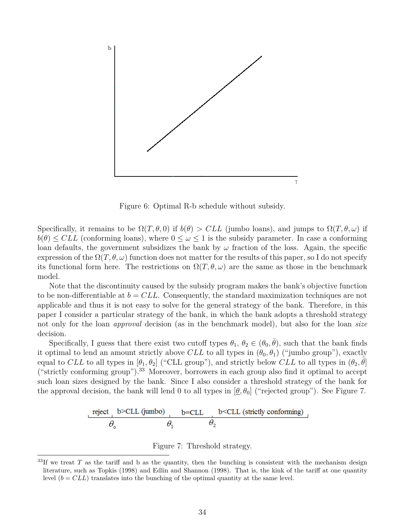

Figure 6: Optimal R-b schedule without subsidy.

Specifically, it remains to be  $\Omega(T, \theta, 0)$  if  $b(\theta) > CLL$  (jumbo loans), and jumps to  $\Omega(T, \theta, \omega)$  if  $b(\theta) \leq CLL$  (conforming loans), where  $0 \leq \omega \leq 1$  is the subsidy parameter. In case a conforming loan defaults, the government subsidizes the bank by  $\omega$  fraction of the loss. Again, the specific expression of the  $\Omega(T, \theta, \omega)$  function does not matter for the results of this paper, so I do not specify its functional form here. The restrictions on  $\Omega(T,\theta,\omega)$  are the same as those in the benchmark model.

Note that the discontinuity caused by the subsidy program makes the bank's objective function to be non-differentiable at *b* = *CLL*. Consequently, the standard maximization techniques are not applicable and thus it is not easy to solve for the general strategy of the bank. Therefore, in this paper I consider a particular strategy of the bank, in which the bank adopts a threshold strategy not only for the loan *approval* decision (as in the benchmark model), but also for the loan *size* decision.

Specifically, I guess that there exist two cutoff types  $\theta_1, \theta_2 \in (\theta_0, \bar{\theta})$ , such that the bank finds it optimal to lend an amount strictly above *CLL* to all types in  $(\theta_0, \theta_1)$  ("jumbo group"), exactly equal to *CLL* to all types in  $[\theta_1, \theta_2]$  ("CLL group"), and strictly below *CLL* to all types in  $(\theta_2, \tilde{\theta}]$ ("strictly conforming group").<sup>33</sup> Moreover, borrowers in each group also find it optimal to accept such loan sizes designed by the bank. Since I also consider a threshold strategy of the bank for the approval decision, the bank will lend 0 to all types in  $[\underline{\theta}, \theta_0]$  ("rejected group"). See Figure 7.

$$
\frac{\text{reject} \quad \text{b} > \text{CLL (jumbo)}}{\theta_0} \quad \frac{\text{b} = \text{CLL} \quad \text{b} < \text{CLL (strictly conforming)}}{\theta_2}
$$



 $33$ If we treat *T* as the tariff and b as the quantity, then the bunching is consistent with the mechanism design literature, such as Topkis (1998) and Edlin and Shannon (1998). That is, the kink of the tariff at one quantity level  $(b = CLL)$  translates into the bunching of the optimal quantity at the same level.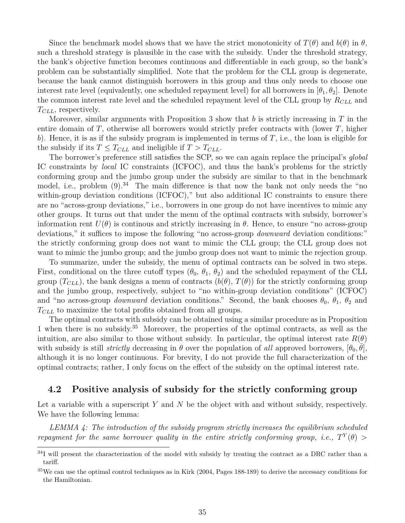Since the benchmark model shows that we have the strict monotonicity of  $T(\theta)$  and  $b(\theta)$  in  $\theta$ , such a threshold strategy is plausible in the case with the subsidy. Under the threshold strategy, the bank's objective function becomes continuous and differentiable in each group, so the bank's problem can be substantially simplified. Note that the problem for the CLL group is degenerate, because the bank cannot distinguish borrowers in this group and thus only needs to choose one interest rate level (equivalently, one scheduled repayment level) for all borrowers in  $[\theta_1, \theta_2]$ . Denote the common interest rate level and the scheduled repayment level of the CLL group by *RCLL* and *TCLL*, respectively.

Moreover, similar arguments with Proposition 3 show that *b* is strictly increasing in *T* in the entire domain of *T*, otherwise all borrowers would strictly prefer contracts with (lower *T*, higher *b*). Hence, it is as if the subsidy program is implemented in terms of *T*, i.e., the loan is eligible for the subsidy if its  $T \leq T_{CLL}$  and ineligible if  $T > T_{CLL}$ .

The borrower's preference still satisfies the SCP, so we can again replace the principal's *global* IC constraints by *local* IC constraints (ICFOC), and thus the bank's problems for the strictly conforming group and the jumbo group under the subsidy are similar to that in the benchmark model, i.e., problem  $(9)^{34}$ . The main difference is that now the bank not only needs the "no within-group deviation conditions (ICFOC)," but also additional IC constraints to ensure there are no "across-group deviations," i.e., borrowers in one group do not have incentives to mimic any other groups. It turns out that under the menu of the optimal contracts with subsidy, borrower's information rent  $U(\theta)$  is continous and strictly increasing in  $\theta$ . Hence, to ensure "no across-group deviations," it suffices to impose the following "no across-group *downward* deviation conditions:" the strictly conforming group does not want to mimic the CLL group; the CLL group does not want to mimic the jumbo group; and the jumbo group does not want to mimic the rejection group.

To summarize, under the subsidy, the menu of optimal contracts can be solved in two steps. First, conditional on the three cutoff types  $(\theta_0, \theta_1, \theta_2)$  and the scheduled repayment of the CLL group  $(T_{CLL})$ , the bank designs a menu of contracts  $(b(\theta), T(\theta))$  for the strictly conforming group and the jumbo group, respectively, subject to "no within-group deviation conditions" (ICFOC) and "no across-group *downward* deviation conditions." Second, the bank chooses  $\theta_0$ ,  $\theta_1$ ,  $\theta_2$  and *TCLL* to maximize the total profits obtained from all groups.

The optimal contracts with subsidy can be obtained using a similar procedure as in Proposition 1 when there is no subsidy.<sup>35</sup> Moreover, the properties of the optimal contracts, as well as the intuition, are also similar to those without subsidy. In particular, the optimal interest rate  $R(\theta)$ with subsidy is still *strictly* decreasing in  $\theta$  over the population of *all* approved borrowers,  $[\theta_0, \bar{\theta}]$ , although it is no longer continuous. For brevity, I do not provide the full characterization of the optimal contracts; rather, I only focus on the effect of the subsidy on the optimal interest rate.

## **4.2 Positive analysis of subsidy for the strictly conforming group**

Let a variable with a superscript *Y* and *N* be the object with and without subsidy, respectively. We have the following lemma:

*LEMMA 4: The introduction of the subsidy program strictly increases the equilibrium scheduled repayment for the same borrower quality in the entire strictly conforming group, i.e.,*  $T^Y(\theta)$  >

<sup>&</sup>lt;sup>34</sup>I will present the characterization of the model with subsidy by treating the contract as a DRC rather than a tariff.

<sup>&</sup>lt;sup>35</sup>We can use the optimal control techniques as in Kirk (2004, Pages 188-189) to derive the necessary conditions for the Hamiltonian.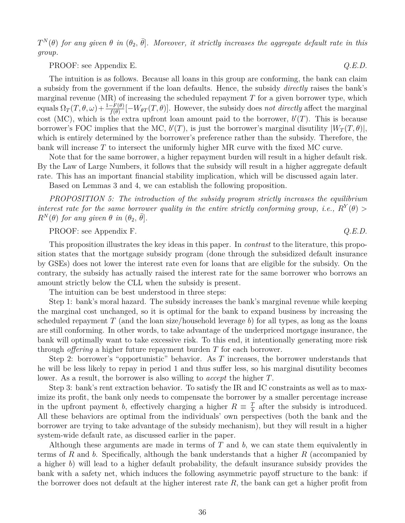$T^N(\theta)$  *for any given*  $\theta$  *in*  $(\theta_2, \bar{\theta}]$ *. Moreover, it strictly increases the aggregate default rate in this group.*

PROOF: see Appendix E. *Q.E.D.*

The intuition is as follows. Because all loans in this group are conforming, the bank can claim a subsidy from the government if the loan defaults. Hence, the subsidy *directly* raises the bank's marginal revenue (MR) of increasing the scheduled repayment *T* for a given borrower type, which  $\text{equals } \Omega_T(T, \theta, \omega) + \frac{1 - F(\theta)}{f(\theta)}[-W_{\theta T}(T, \theta)].$  However, the subsidy does *not directly* affect the marginal cost (MC), which is the extra upfront loan amount paid to the borrower,  $b'(T)$ . This is because borrower's FOC implies that the MC,  $b'(T)$ , is just the borrower's marginal disutility  $|W_T(T, \theta)|$ , which is entirely determined by the borrower's preference rather than the subsidy. Therefore, the bank will increase *T* to intersect the uniformly higher MR curve with the fixed MC curve.

Note that for the same borrower, a higher repayment burden will result in a higher default risk. By the Law of Large Numbers, it follows that the subsidy will result in a higher aggregate default rate. This has an important financial stability implication, which will be discussed again later.

Based on Lemmas 3 and 4, we can establish the following proposition.

*PROPOSITION 5: The introduction of the subsidy program strictly increases the equilibrium interest rate for the same borrower quality in the entire strictly conforming group, i.e.,*  $R^Y(\theta)$  >  $R^N(\theta)$  *for any given*  $\theta$  *in*  $(\theta_2, \bar{\theta})$ *.* 

## PROOF: see Appendix F. *Q.E.D.*

This proposition illustrates the key ideas in this paper. In *contrast* to the literature, this proposition states that the mortgage subsidy program (done through the subsidized default insurance by GSEs) does not lower the interest rate even for loans that are eligible for the subsidy. On the contrary, the subsidy has actually raised the interest rate for the same borrower who borrows an amount strictly below the CLL when the subsidy is present.

The intuition can be best understood in three steps:

Step 1: bank's moral hazard. The subsidy increases the bank's marginal revenue while keeping the marginal cost unchanged, so it is optimal for the bank to expand business by increasing the scheduled repayment *T* (and the loan size/household leverage *b*) for all types, as long as the loans are still conforming. In other words, to take advantage of the underpriced mortgage insurance, the bank will optimally want to take excessive risk. To this end, it intentionally generating more risk through *offering* a higher future repayment burden *T* for each borrower.

Step 2: borrower's "opportunistic" behavior. As *T* increases, the borrower understands that he will be less likely to repay in period 1 and thus suffer less, so his marginal disutility becomes lower. As a result, the borrower is also willing to *accept* the higher *T*.

Step 3: bank's rent extraction behavior. To satisfy the IR and IC constraints as well as to maximize its profit, the bank only needs to compensate the borrower by a smaller percentage increase in the upfront payment *b*, effectively charging a higher  $R = \frac{T}{h}$  $\frac{F}{b}$  after the subsidy is introduced. All these behaviors are optimal from the individuals' own perspectives (both the bank and the borrower are trying to take advantage of the subsidy mechanism), but they will result in a higher system-wide default rate, as discussed earlier in the paper.

Although these arguments are made in terms of *T* and *b*, we can state them equivalently in terms of *R* and *b*. Specifically, although the bank understands that a higher *R* (accompanied by a higher *b*) will lead to a higher default probability, the default insurance subsidy provides the bank with a safety net, which induces the following asymmetric payoff structure to the bank: if the borrower does not default at the higher interest rate *R*, the bank can get a higher profit from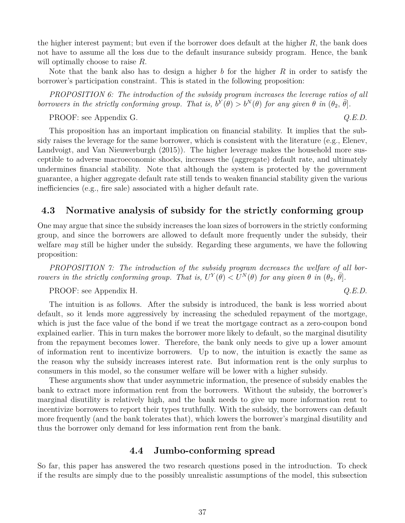the higher interest payment; but even if the borrower does default at the higher *R*, the bank does not have to assume all the loss due to the default insurance subsidy program. Hence, the bank will optimally choose to raise *R*.

Note that the bank also has to design a higher *b* for the higher *R* in order to satisfy the borrower's participation constraint. This is stated in the following proposition:

*PROPOSITION 6: The introduction of the subsidy program increases the leverage ratios of all borrowers in the strictly conforming group. That is,*  $b^Y(\theta) > b^N(\theta)$  *for any given*  $\theta$  *in*  $(\theta_2, \bar{\theta}]$ *.* 

PROOF: see Appendix G. *Q.E.D.*

This proposition has an important implication on financial stability. It implies that the subsidy raises the leverage for the same borrower, which is consistent with the literature (e.g., Elenev, Landvoigt, and Van Nieuwerburgh (2015)). The higher leverage makes the household more susceptible to adverse macroeconomic shocks, increases the (aggregate) default rate, and ultimately undermines financial stability. Note that although the system is protected by the government guarantee, a higher aggregate default rate still tends to weaken financial stability given the various inefficiencies (e.g., fire sale) associated with a higher default rate.

## **4.3 Normative analysis of subsidy for the strictly conforming group**

One may argue that since the subsidy increases the loan sizes of borrowers in the strictly conforming group, and since the borrowers are allowed to default more frequently under the subsidy, their welfare *may* still be higher under the subsidy. Regarding these arguments, we have the following proposition:

*PROPOSITION 7: The introduction of the subsidy program decreases the welfare of all borrowers in the strictly conforming group. That is,*  $U^Y(\theta) < U^N(\theta)$  for any given  $\theta$  *in*  $(\theta_2, \overline{\theta}]$ *.* 

PROOF: see Appendix H.

$$
Q.E.D.
$$

The intuition is as follows. After the subsidy is introduced, the bank is less worried about default, so it lends more aggressively by increasing the scheduled repayment of the mortgage, which is just the face value of the bond if we treat the mortgage contract as a zero-coupon bond explained earlier. This in turn makes the borrower more likely to default, so the marginal disutility from the repayment becomes lower. Therefore, the bank only needs to give up a lower amount of information rent to incentivize borrowers. Up to now, the intuition is exactly the same as the reason why the subsidy increases interest rate. But information rent is the only surplus to consumers in this model, so the consumer welfare will be lower with a higher subsidy.

These arguments show that under asymmetric information, the presence of subsidy enables the bank to extract more information rent from the borrowers. Without the subsidy, the borrower's marginal disutility is relatively high, and the bank needs to give up more information rent to incentivize borrowers to report their types truthfully. With the subsidy, the borrowers can default more frequently (and the bank tolerates that), which lowers the borrower's marginal disutility and thus the borrower only demand for less information rent from the bank.

## **4.4 Jumbo-conforming spread**

So far, this paper has answered the two research questions posed in the introduction. To check if the results are simply due to the possibly unrealistic assumptions of the model, this subsection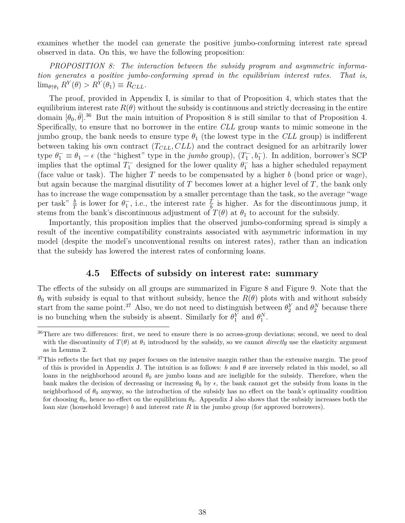examines whether the model can generate the positive jumbo-conforming interest rate spread observed in data. On this, we have the following proposition:

*PROPOSITION 8: The interaction between the subsidy program and asymmetric information generates a positive jumbo-conforming spread in the equilibrium interest rates. That is,*  $\lim_{\theta \uparrow \theta_1} R^Y(\theta) > R^Y(\theta_1) \equiv R_{CLL}.$ 

The proof, provided in Appendix I, is similar to that of Proposition 4, which states that the equilibrium interest rate  $R(\theta)$  without the subsidy is continuous and strictly decreasing in the entire domain  $[\theta_0, \bar{\theta}]$ .<sup>36</sup> But the main intuition of Proposition 8 is still similar to that of Proposition 4. Specifically, to ensure that no borrower in the entire *CLL* group wants to mimic someone in the jumbo group, the bank needs to ensure type  $\theta_1$  (the lowest type in the *CLL* group) is indifferent between taking his own contract (*TCLL, CLL*) and the contract designed for an arbitrarily lower type  $\theta_1^- \equiv \theta_1 - \epsilon$  (the "highest" type in the *jumbo* group),  $(T_1^-, b_1^-)$ . In addition, borrower's SCP implies that the optimal  $T_1^-$  designed for the lower quality  $\theta_1^-$  has a higher scheduled repayment (face value or task). The higher *T* needs to be compensated by a higher *b* (bond price or wage), but again because the marginal disutility of *T* becomes lower at a higher level of *T*, the bank only has to increase the wage compensation by a smaller percentage than the task, so the average "wage per task"  $\frac{b}{T}$  is lower for  $\theta_1^-$ , i.e., the interest rate  $\frac{T}{b}$  is higher. As for the discontinuous jump, it stems from the bank's discontinuous adjustment of  $T(\theta)$  at  $\theta_1$  to account for the subsidy.

Importantly, this proposition implies that the observed jumbo-conforming spread is simply a result of the incentive compatibility constraints associated with asymmetric information in my model (despite the model's unconventional results on interest rates), rather than an indication that the subsidy has lowered the interest rates of conforming loans.

## **4.5 Effects of subsidy on interest rate: summary**

The effects of the subsidy on all groups are summarized in Figure 8 and Figure 9. Note that the  $\theta_0$  with subsidy is equal to that without subsidy, hence the  $R(\theta)$  plots with and without subsidy start from the same point.<sup>37</sup> Also, we do not need to distinguish between  $\theta_2^Y$  and  $\theta_2^N$  because there is no bunching when the subsidy is absent. Similarly for  $\theta_1^Y$  and  $\theta_1^N$ .

<sup>&</sup>lt;sup>36</sup>There are two differences: first, we need to ensure there is no across-group deviations; second, we need to deal with the discontinuity of  $T(\theta)$  at  $\theta_1$  introduced by the subsidy, so we cannot *directly* use the elasticity argument as in Lemma 2.

<sup>&</sup>lt;sup>37</sup>This reflects the fact that my paper focuses on the intensive margin rather than the extensive margin. The proof of this is provided in Appendix J. The intuition is as follows:  $b$  and  $\theta$  are inversely related in this model, so all loans in the neighborhood around  $\theta_0$  are jumbo loans and are ineligible for the subsidy. Therefore, when the bank makes the decision of decreasing or increasing  $\theta_0$  by  $\epsilon$ , the bank cannot get the subsidy from loans in the neighborhood of *θ*<sup>0</sup> anyway, so the introduction of the subsidy has no effect on the bank's optimality condition for choosing  $\theta_0$ , hence no effect on the equilibrium  $\theta_0$ . Appendix J also shows that the subsidy increases both the loan size (household leverage) *b* and interest rate *R* in the jumbo group (for approved borrowers).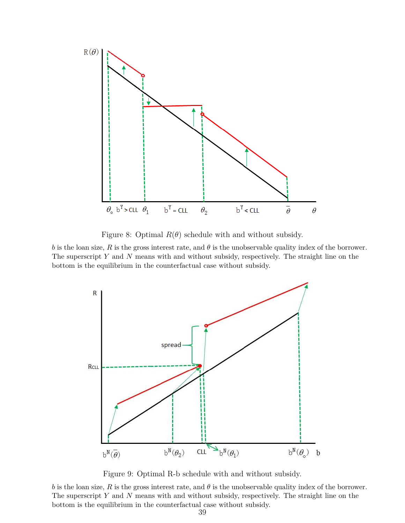

Figure 8: Optimal  $R(\theta)$  schedule with and without subsidy.

*b* is the loan size, *R* is the gross interest rate, and *θ* is the unobservable quality index of the borrower. The superscript *Y* and *N* means with and without subsidy, respectively. The straight line on the bottom is the equilibrium in the counterfactual case without subsidy.



Figure 9: Optimal R-b schedule with and without subsidy.

*b* is the loan size, *R* is the gross interest rate, and  $\theta$  is the unobservable quality index of the borrower. The superscript *Y* and *N* means with and without subsidy, respectively. The straight line on the bottom is the equilibrium in the counterfactual case without subsidy.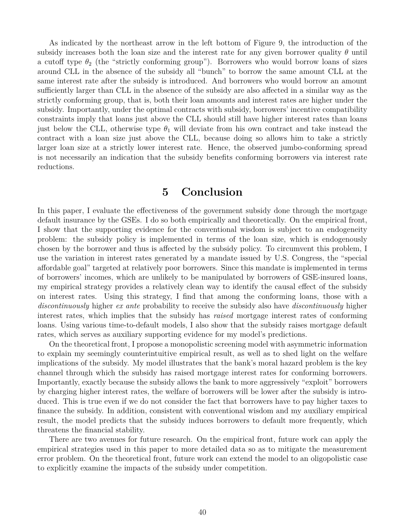As indicated by the northeast arrow in the left bottom of Figure 9, the introduction of the subsidy increases both the loan size and the interest rate for any given borrower quality  $\theta$  until a cutoff type  $\theta_2$  (the "strictly conforming group"). Borrowers who would borrow loans of sizes around CLL in the absence of the subsidy all "bunch" to borrow the same amount CLL at the same interest rate after the subsidy is introduced. And borrowers who would borrow an amount sufficiently larger than CLL in the absence of the subsidy are also affected in a similar way as the strictly conforming group, that is, both their loan amounts and interest rates are higher under the subsidy. Importantly, under the optimal contracts with subsidy, borrowers' incentive compatibility constraints imply that loans just above the CLL should still have higher interest rates than loans just below the CLL, otherwise type  $\theta_1$  will deviate from his own contract and take instead the contract with a loan size just above the CLL, because doing so allows him to take a strictly larger loan size at a strictly lower interest rate. Hence, the observed jumbo-conforming spread is not necessarily an indication that the subsidy benefits conforming borrowers via interest rate reductions.

## **5 Conclusion**

In this paper, I evaluate the effectiveness of the government subsidy done through the mortgage default insurance by the GSEs. I do so both empirically and theoretically. On the empirical front, I show that the supporting evidence for the conventional wisdom is subject to an endogeneity problem: the subsidy policy is implemented in terms of the loan size, which is endogenously chosen by the borrower and thus is affected by the subsidy policy. To circumvent this problem, I use the variation in interest rates generated by a mandate issued by U.S. Congress, the "special affordable goal" targeted at relatively poor borrowers. Since this mandate is implemented in terms of borrowers' incomes, which are unlikely to be manipulated by borrowers of GSE-insured loans, my empirical strategy provides a relatively clean way to identify the causal effect of the subsidy on interest rates. Using this strategy, I find that among the conforming loans, those with a *discontinuously* higher *ex ante* probability to receive the subsidy also have *discontinuously* higher interest rates, which implies that the subsidy has *raised* mortgage interest rates of conforming loans. Using various time-to-default models, I also show that the subsidy raises mortgage default rates, which serves as auxiliary supporting evidence for my model's predictions.

On the theoretical front, I propose a monopolistic screening model with asymmetric information to explain my seemingly counterintuitive empirical result, as well as to shed light on the welfare implications of the subsidy. My model illustrates that the bank's moral hazard problem is the key channel through which the subsidy has raised mortgage interest rates for conforming borrowers. Importantly, exactly because the subsidy allows the bank to more aggressively "exploit" borrowers by charging higher interest rates, the welfare of borrowers will be lower after the subsidy is introduced. This is true even if we do not consider the fact that borrowers have to pay higher taxes to finance the subsidy. In addition, consistent with conventional wisdom and my auxiliary empirical result, the model predicts that the subsidy induces borrowers to default more frequently, which threatens the financial stability.

There are two avenues for future research. On the empirical front, future work can apply the empirical strategies used in this paper to more detailed data so as to mitigate the measurement error problem. On the theoretical front, future work can extend the model to an oligopolistic case to explicitly examine the impacts of the subsidy under competition.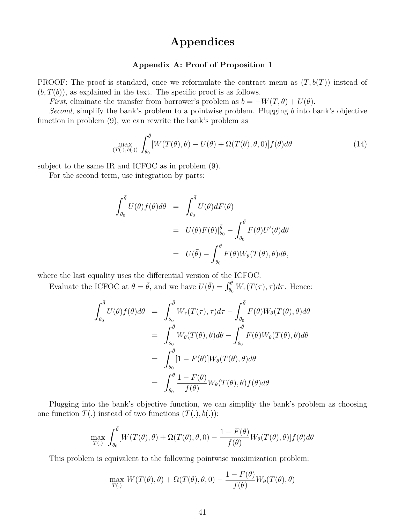# **Appendices**

## **Appendix A: Proof of Proposition 1**

PROOF: The proof is standard, once we reformulate the contract menu as  $(T, b(T))$  instead of  $(b, T(b))$ , as explained in the text. The specific proof is as follows.

*First*, eliminate the transfer from borrower's problem as  $b = -W(T, \theta) + U(\theta)$ .

*Second*, simplify the bank's problem to a pointwise problem. Plugging *b* into bank's objective function in problem (9), we can rewrite the bank's problem as

$$
\max_{(T(.), b(.))} \int_{\theta_0}^{\bar{\theta}} [W(T(\theta), \theta) - U(\theta) + \Omega(T(\theta), \theta, 0)] f(\theta) d\theta \tag{14}
$$

subject to the same IR and ICFOC as in problem (9).

For the second term, use integration by parts:

$$
\int_{\theta_0}^{\overline{\theta}} U(\theta) f(\theta) d\theta = \int_{\theta_0}^{\overline{\theta}} U(\theta) dF(\theta)
$$
  
=  $U(\theta) F(\theta) \Big|_{\theta_0}^{\overline{\theta}} - \int_{\theta_0}^{\overline{\theta}} F(\theta) U'(\theta) d\theta$   
=  $U(\overline{\theta}) - \int_{\theta_0}^{\overline{\theta}} F(\theta) W_{\theta}(T(\theta), \theta) d\theta$ ,

where the last equality uses the differential version of the ICFOC.

Evaluate the ICFOC at  $\theta = \bar{\theta}$ , and we have  $U(\bar{\theta}) = \int_{\theta_0}^{\bar{\theta}} W_{\tau}(T(\tau), \tau) d\tau$ . Hence:

$$
\int_{\theta_0}^{\overline{\theta}} U(\theta) f(\theta) d\theta = \int_{\theta_0}^{\overline{\theta}} W_{\tau}(T(\tau), \tau) d\tau - \int_{\theta_0}^{\overline{\theta}} F(\theta) W_{\theta}(T(\theta), \theta) d\theta
$$

$$
= \int_{\theta_0}^{\overline{\theta}} W_{\theta}(T(\theta), \theta) d\theta - \int_{\theta_0}^{\overline{\theta}} F(\theta) W_{\theta}(T(\theta), \theta) d\theta
$$

$$
= \int_{\theta_0}^{\overline{\theta}} [1 - F(\theta)] W_{\theta}(T(\theta), \theta) d\theta
$$

$$
= \int_{\theta_0}^{\overline{\theta}} \frac{1 - F(\theta)}{f(\theta)} W_{\theta}(T(\theta), \theta) f(\theta) d\theta
$$

Plugging into the bank's objective function, we can simplify the bank's problem as choosing one function  $T(.)$  instead of two functions  $(T(.), b(.))$ :

$$
\max_{T(.)} \int_{\theta_0}^{\bar{\theta}} [W(T(\theta), \theta) + \Omega(T(\theta), \theta, 0) - \frac{1 - F(\theta)}{f(\theta)} W_{\theta}(T(\theta), \theta)] f(\theta) d\theta
$$

This problem is equivalent to the following pointwise maximization problem:

$$
\max_{T(.)} W(T(\theta), \theta) + \Omega(T(\theta), \theta, 0) - \frac{1 - F(\theta)}{f(\theta)} W_{\theta}(T(\theta), \theta)
$$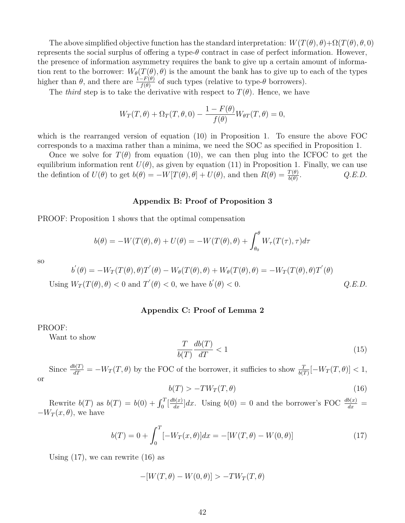The above simplified objective function has the standard interpretation:  $W(T(\theta), \theta) + \Omega(T(\theta), \theta, 0)$ represents the social surplus of offering a type- $\theta$  contract in case of perfect information. However, the presence of information asymmetry requires the bank to give up a certain amount of information rent to the borrower:  $W_{\theta}(T(\theta), \theta)$  is the amount the bank has to give up to each of the types higher than  $\theta$ , and there are  $\frac{1-F(\theta)}{f(\theta)}$  of such types (relative to type- $\theta$  borrowers).

The *third* step is to take the derivative with respect to  $T(\theta)$ . Hence, we have

$$
W_T(T, \theta) + \Omega_T(T, \theta, 0) - \frac{1 - F(\theta)}{f(\theta)} W_{\theta T}(T, \theta) = 0,
$$

which is the rearranged version of equation (10) in Proposition 1. To ensure the above FOC corresponds to a maxima rather than a minima, we need the SOC as specified in Proposition 1.

Once we solve for  $T(\theta)$  from equation (10), we can then plug into the ICFOC to get the equilibrium information rent  $U(\theta)$ , as given by equation (11) in Proposition 1. Finally, we can use the defintion of  $U(\theta)$  to get  $b(\theta) = -W[T(\theta), \theta] + U(\theta)$ , and then  $R(\theta) = \frac{T(\theta)}{b(\theta)}$ . *Q.E.D.*

### **Appendix B: Proof of Proposition 3**

PROOF: Proposition 1 shows that the optimal compensation

$$
b(\theta) = -W(T(\theta), \theta) + U(\theta) = -W(T(\theta), \theta) + \int_{\theta_0}^{\theta} W_{\tau}(T(\tau), \tau) d\tau
$$

so

$$
b'(\theta) = -W_T(T(\theta), \theta)T'(\theta) - W_\theta(T(\theta), \theta) + W_\theta(T(\theta), \theta) = -W_T(T(\theta), \theta)T'(\theta)
$$

Using  $W_T(T(\theta), \theta) < 0$  and  $T'(\theta) < 0$ , we have  $b'(\theta) < 0$ .<br>
(*Q.E.D.*)

#### **Appendix C: Proof of Lemma 2**

#### PROOF:

Want to show

$$
\frac{T}{b(T)}\frac{db(T)}{dT} < 1\tag{15}
$$

Since  $\frac{db(T)}{dT} = -W_T(T, \theta)$  by the FOC of the borrower, it sufficies to show  $\frac{T}{b(T)}[-W_T(T, \theta)] < 1$ , or

$$
b(T) > -TW_T(T,\theta) \tag{16}
$$

Rewrite  $b(T)$  as  $b(T) = b(0) + \int_0^T \left[\frac{db(x)}{dx}\right] dx$ . Using  $b(0) = 0$  and the borrower's FOC  $\frac{db(x)}{dx} =$  $-W_T(x, \theta)$ , we have

$$
b(T) = 0 + \int_0^T [-W_T(x,\theta)]dx = -[W(T,\theta) - W(0,\theta)]
$$
\n(17)

Using  $(17)$ , we can rewrite  $(16)$  as

$$
-[W(T, \theta) - W(0, \theta)] > -TW_T(T, \theta)
$$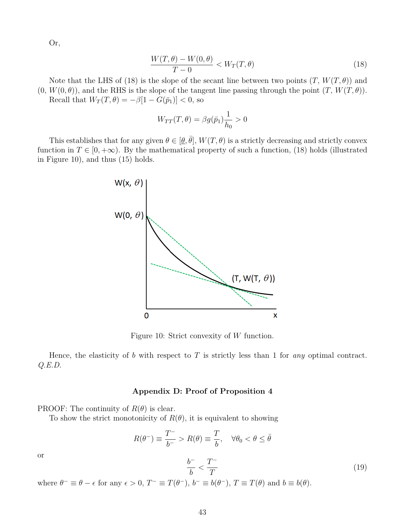Or,

$$
\frac{W(T,\theta) - W(0,\theta)}{T - 0} < W_T(T,\theta) \tag{18}
$$

Note that the LHS of (18) is the slope of the secant line between two points  $(T, W(T, \theta))$  and  $(0, W(0, \theta))$ , and the RHS is the slope of the tangent line passing through the point  $(T, W(T, \theta))$ .

Recall that  $W_T(T, \theta) = -\beta[1 - G(\bar{p}_1)] < 0$ , so

$$
W_{TT}(T,\theta) = \beta g(\bar{p}_1) \frac{1}{h_0} > 0
$$

This establishes that for any given  $\theta \in [\underline{\theta}, \overline{\theta}]$ ,  $W(T, \theta)$  is a strictly decreasing and strictly convex function in  $T \in [0, +\infty)$ . By the mathematical property of such a function, (18) holds (illustrated in Figure 10), and thus (15) holds.



Figure 10: Strict convexity of *W* function.

Hence, the elasticity of *b* with respect to *T* is strictly less than 1 for *any* optimal contract. *Q.E.D.*

## **Appendix D: Proof of Proposition 4**

PROOF: The continuity of  $R(\theta)$  is clear.

To show the strict monotonicity of  $R(\theta)$ , it is equivalent to showing

$$
R(\theta^-) \equiv \frac{T^-}{b^-} > R(\theta) \equiv \frac{T}{b}, \quad \forall \theta_0 < \theta \leq \bar{\theta}
$$

or

$$
\frac{b^-}{b} < \frac{T^-}{T} \tag{19}
$$

where  $\theta^- \equiv \theta - \epsilon$  for any  $\epsilon > 0$ ,  $T^- \equiv T(\theta^-)$ ,  $b^- \equiv b(\theta^-)$ ,  $T \equiv T(\theta)$  and  $b \equiv b(\theta)$ .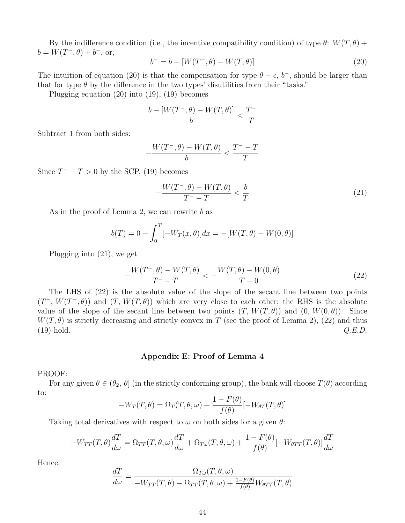By the indifference condition (i.e., the incentive compatibility condition) of type  $\theta$ :  $W(T, \theta)$  +  $b = W(T^-, \theta) + b^-,$  or,

$$
b^{-} = b - [W(T^{-}, \theta) - W(T, \theta)] \tag{20}
$$

The intuition of equation (20) is that the compensation for type  $\theta - \epsilon$ ,  $b^-$ , should be larger than that for type  $\theta$  by the difference in the two types' disutilities from their "tasks."

Plugging equation (20) into (19), (19) becomes

$$
\frac{b - [W(T^-,\theta) - W(T,\theta)]}{b} < \frac{T^-}{T}
$$

Subtract 1 from both sides:

$$
-\frac{W(T^-,\theta)-W(T,\theta)}{b}<\frac{T^--T}{T}
$$

Since  $T^- - T > 0$  by the SCP, (19) becomes

$$
-\frac{W(T^-,\theta) - W(T,\theta)}{T^- - T} < \frac{b}{T} \tag{21}
$$

As in the proof of Lemma 2, we can rewrite *b* as

$$
b(T) = 0 + \int_0^T [-W_T(x,\theta)]dx = -[W(T,\theta) - W(0,\theta)]
$$

Plugging into (21), we get

$$
-\frac{W(T^-,\theta) - W(T,\theta)}{T^- - T} < -\frac{W(T,\theta) - W(0,\theta)}{T - 0} \tag{22}
$$

The LHS of (22) is the absolute value of the slope of the secant line between two points  $(T^-, W(T^-, \theta))$  and  $(T, W(T, \theta))$  which are very close to each other; the RHS is the absolute value of the slope of the secant line between two points  $(T, W(T, \theta))$  and  $(0, W(0, \theta))$ . Since  $W(T, \theta)$  is strictly decreasing and strictly convex in *T* (see the proof of Lemma 2), (22) and thus  $(19)$  hold.  $Q.E.D.$ 

### **Appendix E: Proof of Lemma 4**

### PROOF:

For any given  $\theta \in (\theta_2, \bar{\theta}]$  (in the strictly conforming group), the bank will choose  $T(\theta)$  according to:

$$
-W_T(T,\theta) = \Omega_T(T,\theta,\omega) + \frac{1 - F(\theta)}{f(\theta)}[-W_{\theta T}(T,\theta)]
$$

Taking total derivatives with respect to  $\omega$  on both sides for a given  $\theta$ :

$$
-W_{TT}(T,\theta)\frac{dT}{d\omega} = \Omega_{TT}(T,\theta,\omega)\frac{dT}{d\omega} + \Omega_{T\omega}(T,\theta,\omega) + \frac{1 - F(\theta)}{f(\theta)}[-W_{\theta TT}(T,\theta)]\frac{dT}{d\omega}
$$

Hence,

$$
\frac{dT}{d\omega} = \frac{\Omega_{T\omega}(T,\theta,\omega)}{-W_{TT}(T,\theta) - \Omega_{TT}(T,\theta,\omega) + \frac{1 - F(\theta)}{f(\theta)}W_{\theta TT}(T,\theta)}
$$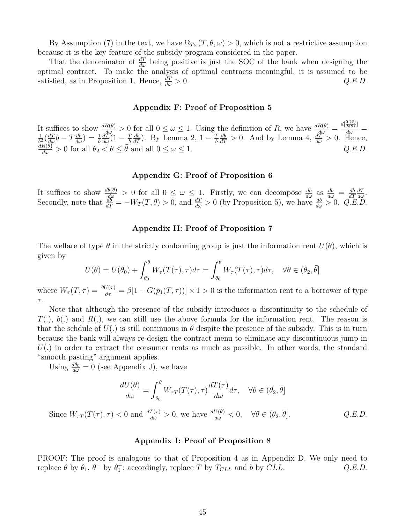By Assumption (7) in the text, we have  $\Omega_{T\omega}(T,\theta,\omega) > 0$ , which is not a restrictive assumption because it is the key feature of the subsidy program considered in the paper.

That the denominator of  $\frac{dT}{d\omega}$  being positive is just the SOC of the bank when designing the optimal contract. To make the analysis of optimal contracts meaningful, it is assumed to be satisfied, as in Proposition 1. Hence,  $\frac{dT}{d\omega} > 0$ .  $\frac{dI'}{d\omega} > 0.$  *Q.E.D.* 

#### **Appendix F: Proof of Proposition 5**

It suffices to show  $\frac{dR(\theta)}{d\omega} > 0$  for all  $0 \le \omega \le 1$ . Using the definition of R, we have  $\frac{dR(\theta)}{d\omega} = \frac{d(\frac{T(\theta)}{b(\theta)})}{d\omega} = \frac{1}{d} \frac{d}{d\omega}$  $\frac{1}{b^2}(\frac{dT}{d\omega}b - T\frac{db}{d\omega}) = \frac{1}{b}$  $\frac{dT}{d\omega}(1-\frac{T}{b})$ *b*  $\frac{db}{dT}$ ). By Lemma 2, 1 –  $\frac{7}{b}$ *b*  $\frac{1}{b^2}(\frac{dT}{d\omega}b - T\frac{db}{d\omega}) = \frac{1}{b}\frac{dT}{d\omega}(1 - \frac{T}{b}\frac{db}{dT})$ . By Lemma 2,  $1 - \frac{T}{b}\frac{db}{dT} > 0$ . And by Lemma 4,  $\frac{dT}{d\omega} > 0$ . Hence,  $\frac{dR(\theta)}{d\omega} > 0$  for all  $\theta_2 < \theta \le \bar{\theta}$  and all  $0 \le \omega \le 1$ .  $Q.E.D.$ 

### **Appendix G: Proof of Proposition 6**

It suffices to show  $\frac{db(\theta)}{d\omega} > 0$  for all  $0 \leq \omega \leq 1$ . Firstly, we can decompose  $\frac{db}{d\omega}$  as  $\frac{db}{d\omega} = \frac{db}{dT}$ *dT dT dω* . Secondly, note that  $\frac{d\bar{b}}{dT} = -W_T(T, \theta) > 0$ , and  $\frac{dT}{d\omega} > 0$  (by Proposition 5), we have  $\frac{db}{d\omega} > 0$ . *Q.E.D.* 

## **Appendix H: Proof of Proposition 7**

The welfare of type  $\theta$  in the strictly conforming group is just the information rent  $U(\theta)$ , which is given by

$$
U(\theta) = U(\theta_0) + \int_{\theta_0}^{\theta} W_{\tau}(T(\tau), \tau) d\tau = \int_{\theta_0}^{\theta} W_{\tau}(T(\tau), \tau) d\tau, \quad \forall \theta \in (\theta_2, \bar{\theta}]
$$

where  $W_{\tau}(T,\tau) = \frac{\partial U(\tau)}{\partial \tau} = \beta[1 - G(\bar{p}_1(T,\tau))] \times 1 > 0$  is the information rent to a borrower of type *τ* .

Note that although the presence of the subsidy introduces a discontinuity to the schedule of *T*(*.*), *b*(*.*) and *R*(*.*), we can still use the above formula for the information rent. The reason is that the schdule of  $U(.)$  is still continuous in  $\theta$  despite the presence of the subsidy. This is in turn because the bank will always re-design the contract menu to eliminate any discontinuous jump in *U*(*.*) in order to extract the consumer rents as much as possible. In other words, the standard "smooth pasting" argument applies.

Using  $\frac{d\theta_0}{d\omega} = 0$  (see Appendix J), we have

$$
\frac{dU(\theta)}{d\omega} = \int_{\theta_0}^{\theta} W_{\tau T}(T(\tau), \tau) \frac{dT(\tau)}{d\omega} d\tau, \quad \forall \theta \in (\theta_2, \bar{\theta}]
$$

Since  $W_{\tau T}(T(\tau), \tau) < 0$  and  $\frac{dT(\tau)}{d\omega} > 0$ , we have  $\frac{dU(\theta)}{d\omega} < 0$ ,  $\forall \theta \in (\theta_2,$ ¯*θ*]*. Q.E.D.*

#### **Appendix I: Proof of Proposition 8**

PROOF: The proof is analogous to that of Proposition 4 as in Appendix D. We only need to  $\text{replace } \theta \text{ by } \theta_1, \theta^- \text{ by } \theta_1^-; \text{ accordingly, replace } T \text{ by } T_{CLL} \text{ and } b \text{ by } CLL.$  *Q.E.D.*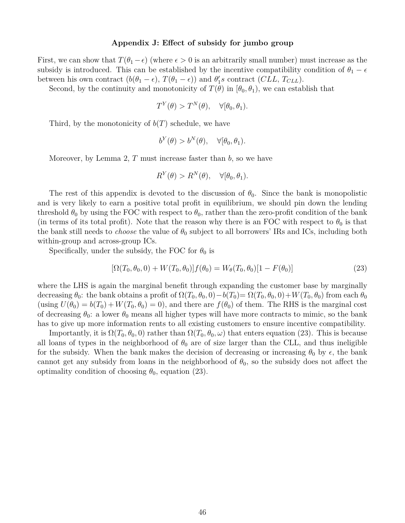#### **Appendix J: Effect of subsidy for jumbo group**

First, we can show that  $T(\theta_1 - \epsilon)$  (where  $\epsilon > 0$  is an arbitrarily small number) must increase as the subsidy is introduced. This can be established by the incentive compatibility condition of  $\theta_1 - \epsilon$ between his own contract  $(b(\theta_1 - \epsilon), T(\theta_1 - \epsilon))$  and  $\theta'_1 s$  contract  $(CLL, T_{CLL})$ .

Second, by the continuity and monotonicity of  $T(\theta)$  in  $[\theta_0, \theta_1)$ , we can establish that

$$
T^{Y}(\theta) > T^{N}(\theta), \quad \forall [\theta_0, \theta_1).
$$

Third, by the monotonicity of  $b(T)$  schedule, we have

$$
b^Y(\theta) > b^N(\theta), \quad \forall [\theta_0, \theta_1).
$$

Moreover, by Lemma 2, *T* must increase faster than *b*, so we have

$$
R^{Y}(\theta) > R^{N}(\theta), \quad \forall [\theta_0, \theta_1).
$$

The rest of this appendix is devoted to the discussion of  $\theta_0$ . Since the bank is monopolistic and is very likely to earn a positive total profit in equilibrium, we should pin down the lending threshold  $\theta_0$  by using the FOC with respect to  $\theta_0$ , rather than the zero-profit condition of the bank (in terms of its total profit). Note that the reason why there is an FOC with respect to  $\theta_0$  is that the bank still needs to *choose* the value of  $\theta_0$  subject to all borrowers' IRs and ICs, including both within-group and across-group ICs.

Specifically, under the subsidy, the FOC for  $\theta_0$  is

$$
[\Omega(T_0, \theta_0, 0) + W(T_0, \theta_0)]f(\theta_0) = W_{\theta}(T_0, \theta_0)[1 - F(\theta_0)]
$$
\n(23)

where the LHS is again the marginal benefit through expanding the customer base by marginally decreasing  $\theta_0$ : the bank obtains a profit of  $\Omega(T_0, \theta_0, 0) - b(T_0) = \Omega(T_0, \theta_0, 0) + W(T_0, \theta_0)$  from each  $\theta_0$  $(u\sin g U(\theta_0) = b(T_0) + W(T_0, \theta_0) = 0)$ , and there are  $f(\theta_0)$  of them. The RHS is the marginal cost of decreasing  $\theta_0$ : a lower  $\theta_0$  means all higher types will have more contracts to mimic, so the bank has to give up more information rents to all existing customers to ensure incentive compatibility.

Importantly, it is  $\Omega(T_0, \theta_0, 0)$  rather than  $\Omega(T_0, \theta_0, \omega)$  that enters equation (23). This is because all loans of types in the neighborhood of  $\theta_0$  are of size larger than the CLL, and thus ineligible for the subsidy. When the bank makes the decision of decreasing or increasing  $\theta_0$  by  $\epsilon$ , the bank cannot get any subsidy from loans in the neighborhood of  $\theta_0$ , so the subsidy does not affect the optimality condition of choosing  $\theta_0$ , equation (23).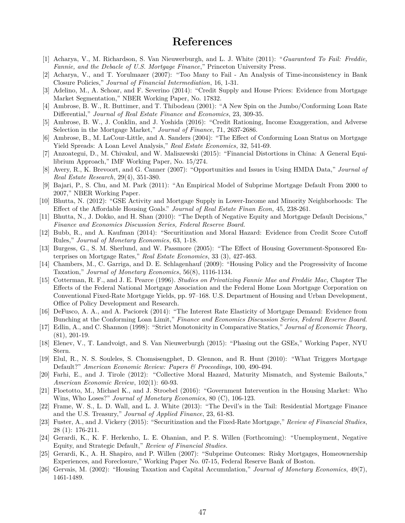## **References**

- [1] Acharya, V., M. Richardson, S. Van Nieuwerburgh, and L. J. White (2011): "*Guaranteed To Fail: Freddie, Fannie, and the Debacle of U.S. Mortgage Finance*," Princeton University Press.
- [2] Acharya, V., and T. Yorulmazer (2007): "Too Many to Fail An Analysis of Time-inconsistency in Bank Closure Policies," *Journal of Financial Intermediation*, 16, 1-31.
- [3] Adelino, M., A. Schoar, and F. Severino (2014): "Credit Supply and House Prices: Evidence from Mortgage Market Segmentation," NBER Working Paper, No. 17832.
- [4] Ambrose, B. W., R. Buttimer, and T. Thibodeau (2001): "A New Spin on the Jumbo/Conforming Loan Rate Differential," *Journal of Real Estate Finance and Economics*, 23, 309-35.
- [5] Ambrose, B. W., J. Conklin, and J. Yoshida (2016): "Credit Rationing, Income Exaggeration, and Adverse Selection in the Mortgage Market," *Journal of Finance*, 71, 2637-2686.
- [6] Ambrose, B., M. LaCour-Little, and A. Sanders (2004): "The Effect of Conforming Loan Status on Mortgage Yield Spreads: A Loan Level Analysis," *Real Estate Economics*, 32, 541-69.
- [7] Anzoategui, D., M. Chivakul, and W. Maliszewski (2015): "Financial Distortions in China: A General Equilibrium Approach," IMF Working Paper, No. 15/274.
- [8] Avery, R., K. Brevoort, and G. Canner (2007): "Opportunities and Issues in Using HMDA Data," *Journal of Real Estate Research*, 29(4), 351-380.
- [9] Bajari, P., S. Chu, and M. Park (2011): "An Empirical Model of Subprime Mortgage Default From 2000 to 2007," NBER Working Paper.
- [10] Bhutta, N. (2012): "GSE Activity and Mortgage Supply in Lower-Income and Minority Neighborhoods: The Effect of the Affordable Housing Goals." *Journal of Real Estate Finan Econ,* 45, 238-261.
- [11] Bhutta, N., J. Dokko, and H. Shan (2010): "The Depth of Negative Equity and Mortgage Default Decisions," *Finance and Economics Discussion Series, Federal Reserve Board.*
- [12] Bubb, R., and A. Kaufman (2014): "Securitization and Moral Hazard: Evidence from Credit Score Cutoff Rules," *Journal of Monetary Economics*, 63, 1-18.
- [13] Burgess, G., S. M. Sherlund, and W. Passmore (2005): "The Effect of Housing Government-Sponsored Enterprises on Mortgage Rates," *Real Estate Economics*, 33 (3), 427-463.
- [14] Chambers, M., C. Garriga, and D. E. Schlagenhauf (2009): "Housing Policy and the Progressivity of Income Taxation," *Journal of Monetary Economics*, 56(8), 1116-1134.
- [15] Cotterman, R. F., and J. E. Pearce (1996). *Studies on Privatizing Fannie Mae and Freddie Mac,* Chapter The Effects of the Federal National Mortgage Association and the Federal Home Loan Mortgage Corporation on Conventional Fixed-Rate Mortgage Yields, pp. 97–168. U.S. Department of Housing and Urban Development, Office of Policy Development and Research.
- [16] DeFusco, A. A., and A. Paciorek (2014): "The Interest Rate Elasticity of Mortgage Demand: Evidence from Bunching at the Conforming Loan Limit," *Finance and Economics Discussion Series, Federal Reserve Board.*
- [17] Edlin, A., and C. Shannon (1998): "Strict Monotonicity in Comparative Statics," *Journal of Economic Theory*, (81), 201-19.
- [18] Elenev, V., T. Landvoigt, and S. Van Nieuwerburgh (2015): "Phasing out the GSEs," Working Paper, NYU Stern.
- [19] Elul, R., N. S. Souleles, S. Chomsisengphet, D. Glennon, and R. Hunt (2010): "What Triggers Mortgage Default?" *American Economic Review: Papers & Proceedings*, 100, 490-494.
- [20] Farhi, E., and J. Tirole (2012): "Collective Moral Hazard, Maturity Mismatch, and Systemic Bailouts," *American Economic Review*, 102(1): 60-93.
- [21] Floetotto, M., Michael K., and J. Stroebel (2016): "Government Intervention in the Housing Market: Who Wins, Who Loses?" *Journal of Monetary Economics*, 80 (C), 106-123.
- [22] Frame, W. S., L. D. Wall, and L. J. White (2013): "The Devil's in the Tail: Residential Mortgage Finance and the U.S. Treasury," *Journal of Applied Finance*, 23, 61-83.
- [23] Fuster, A., and J. Vickery (2015): "Securitization and the Fixed-Rate Mortgage," *Review of Financial Studies*, 28 (1): 176-211.
- [24] Gerardi, K., K. F. Herkenho, L. E. Ohanian, and P. S. Willen (Forthcoming): "Unemployment, Negative Equity, and Strategic Default," *Review of Financial Studies*.
- [25] Gerardi, K., A. H. Shapiro, and P. Willen (2007): "Subprime Outcomes: Risky Mortgages, Homeownership Experiences, and Foreclosure," Working Paper No. 07-15, Federal Reserve Bank of Boston.
- [26] Gervais, M. (2002): "Housing Taxation and Capital Accumulation," *Journal of Monetary Economics*, 49(7), 1461-1489.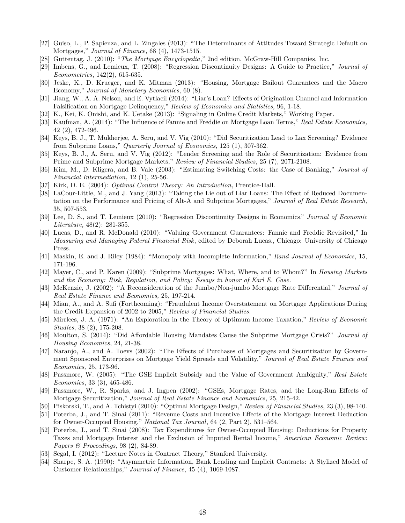- [27] Guiso, L., P. Sapienza, and L. Zingales (2013): "The Determinants of Attitudes Toward Strategic Default on Mortgages," *Journal of Finance*, 68 (4), 1473-1515.
- [28] Guttentag, J. (2010): "*The Mortgage Encyclopedia*," 2nd edition, McGraw-Hill Companies, Inc.
- [29] Imbens, G., and Lemieux, T. (2008): "Regression Discontinuity Designs: A Guide to Practice," *Journal of Econometrics*, 142(2), 615-635.
- [30] Jeske, K., D. Krueger, and K. Mitman (2013): "Housing, Mortgage Bailout Guarantees and the Macro Economy," *Journal of Monetary Economics*, 60 (8).
- [31] Jiang, W., A. A. Nelson, and E. Vytlacil (2014): "Liar's Loan? Effects of Origination Channel and Information Falsification on Mortgage Delinquency," *Review of Economics and Statistics,* 96, 1-18.
- [32] K., Kei, K. Onishi, and K. Uetake (2013): "Signaling in Online Credit Markets," Working Paper*.*
- [33] Kaufman, A. (2014): "The Influence of Fannie and Freddie on Mortgage Loan Terms," *Real Estate Economics,* 42 (2), 472-496.
- [34] Keys, B. J., T. Mukherjee, A. Seru, and V. Vig (2010): "Did Securitization Lead to Lax Screening? Evidence from Subprime Loans," *Quarterly Journal of Economics*, 125 (1), 307-362.
- [35] Keys, B. J., A. Seru, and V. Vig (2012): "Lender Screening and the Role of Securitization: Evidence from Prime and Subprime Mortgage Markets," *Review of Financial Studies*, 25 (7), 2071-2108.
- [36] Kim, M., D. Kligera, and B. Vale (2003): "Estimating Switching Costs: the Case of Banking," *Journal of Financial Intermediation*, 12 (1), 25-56.
- [37] Kirk, D. E. (2004): *Optimal Control Theory: An Introduction*, Prentice-Hall.
- [38] LaCour-Little, M., and J. Yang (2013): "Taking the Lie out of Liar Loans: The Effect of Reduced Documentation on the Performance and Pricing of Alt-A and Subprime Mortgages," *Journal of Real Estate Research,* 35, 507-553.
- [39] Lee, D. S., and T. Lemieux (2010): "Regression Discontinuity Designs in Economics." *Journal of Economic Literature,* 48(2): 281-355.
- [40] Lucas, D., and R. McDonald (2010): "Valuing Government Guarantees: Fannie and Freddie Revisited," In *Measuring and Managing Federal Financial Risk*, edited by Deborah Lucas., Chicago: University of Chicago Press.
- [41] Maskin, E. and J. Riley (1984): "Monopoly with Incomplete Information," *Rand Journal of Economics*, 15, 171-196.
- [42] Mayer, C., and P. Karen (2009): "Subprime Mortgages: What, Where, and to Whom?" In *Housing Markets and the Economy: Risk, Regulation, and Policy: Essays in honor of Karl E. Case*.
- [43] McKenzie, J. (2002): "A Reconsideration of the Jumbo/Non-jumbo Mortgage Rate Differential," *Journal of Real Estate Finance and Economics,* 25, 197-214.
- [44] Mian, A., and A. Sufi (Forthcoming): "Fraudulent Income Overstatement on Mortgage Applications During the Credit Expansion of 2002 to 2005," *Review of Financial Studies*.
- [45] Mirrlees, J. A. (1971): "An Exploration in the Theory of Optimum Income Taxation," *Review of Economic Studies*, 38 (2), 175-208.
- [46] Moulton, S. (2014): "Did Affordable Housing Mandates Cause the Subprime Mortgage Crisis?" *Journal of Housing Economics*, 24, 21-38.
- [47] Naranjo, A., and A. Toevs (2002): "The Effects of Purchases of Mortgages and Securitization by Government Sponsored Enterprises on Mortgage Yield Spreads and Volatility," *Journal of Real Estate Finance and Economics,* 25, 173-96.
- [48] Passmore, W. (2005): "The GSE Implicit Subsidy and the Value of Government Ambiguity," *Real Estate Economics*, 33 (3), 465-486.
- [49] Passmore, W., R. Sparks, and J. Ingpen (2002): "GSEs, Mortgage Rates, and the Long-Run Effects of Mortgage Securitization," *Journal of Real Estate Finance and Economics*, 25, 215-42.
- [50] Piskorski, T., and A. Tchistyi (2010): "Optimal Mortgage Design," *Review of Financial Studies*, 23 (3), 98-140.
- [51] Poterba, J., and T. Sinai (2011): "Revenue Costs and Incentive Effects of the Mortgage Interest Deduction for Owner-Occupied Housing," *National Tax Journal*, 64 (2, Part 2), 531–564.
- [52] Poterba, J., and T. Sinai (2008): Tax Expenditures for Owner-Occupied Housing: Deductions for Property Taxes and Mortgage Interest and the Exclusion of Imputed Rental Income," *American Economic Review: Papers & Proceedings,* 98 (2), 84-89.
- [53] Segal, I. (2012): "Lecture Notes in Contract Theory," Stanford University.
- [54] Sharpe, S. A. (1990): "Asymmetric Information, Bank Lending and Implicit Contracts: A Stylized Model of Customer Relationships," *Journal of Finance*, 45 (4), 1069-1087.